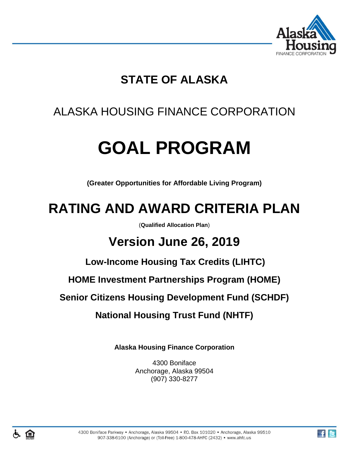

## **STATE OF ALASKA**

## ALASKA HOUSING FINANCE CORPORATION

# **GOAL PROGRAM**

**(Greater Opportunities for Affordable Living Program)**

## **RATING AND AWARD CRITERIA PLAN**

(**Qualified Allocation Plan**)

## **Version June 26, 2019**

**Low-Income Housing Tax Credits (LIHTC)**

**HOME Investment Partnerships Program (HOME)**

**Senior Citizens Housing Development Fund (SCHDF)**

**National Housing Trust Fund (NHTF)**

**Alaska Housing Finance Corporation**

4300 Boniface Anchorage, Alaska 99504 (907) 330-8277

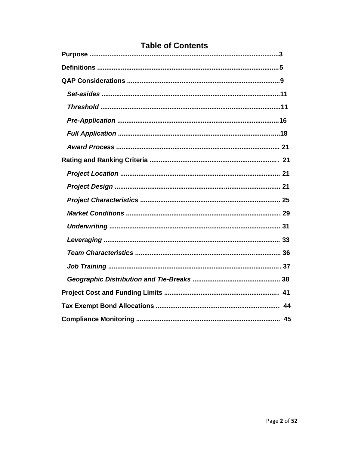## **Table of Contents**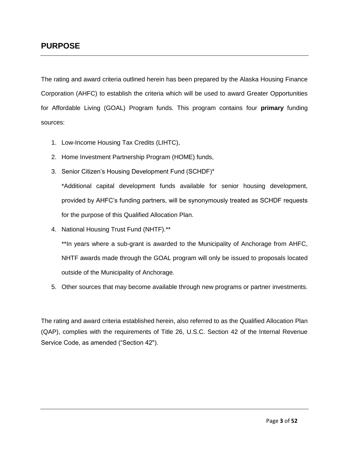#### **PURPOSE**

The rating and award criteria outlined herein has been prepared by the Alaska Housing Finance Corporation (AHFC) to establish the criteria which will be used to award Greater Opportunities for Affordable Living (GOAL) Program funds. This program contains four **primary** funding sources:

- 1. Low-Income Housing Tax Credits (LIHTC),
- 2. Home Investment Partnership Program (HOME) funds,
- 3. Senior Citizen's Housing Development Fund (SCHDF)\*

\*Additional capital development funds available for senior housing development, provided by AHFC's funding partners, will be synonymously treated as SCHDF requests for the purpose of this Qualified Allocation Plan.

4. National Housing Trust Fund (NHTF).\*\*

\*\*In years where a sub-grant is awarded to the Municipality of Anchorage from AHFC, NHTF awards made through the GOAL program will only be issued to proposals located outside of the Municipality of Anchorage.

5. Other sources that may become available through new programs or partner investments.

The rating and award criteria established herein, also referred to as the Qualified Allocation Plan (QAP), complies with the requirements of Title 26, U.S.C. Section 42 of the Internal Revenue Service Code, as amended ("Section 42").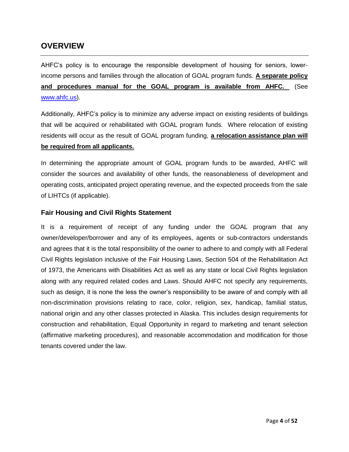#### **OVERVIEW**

AHFC's policy is to encourage the responsible development of housing for seniors, lowerincome persons and families through the allocation of GOAL program funds. **A separate policy and procedures manual for the GOAL program is available from AHFC.** (See [www.ahfc.us\)](http://www.ahfc.us/).

Additionally, AHFC's policy is to minimize any adverse impact on existing residents of buildings that will be acquired or rehabilitated with GOAL program funds. Where relocation of existing residents will occur as the result of GOAL program funding, **a relocation assistance plan will be required from all applicants.**

In determining the appropriate amount of GOAL program funds to be awarded, AHFC will consider the sources and availability of other funds, the reasonableness of development and operating costs, anticipated project operating revenue, and the expected proceeds from the sale of LIHTCs (if applicable).

#### **Fair Housing and Civil Rights Statement**

It is a requirement of receipt of any funding under the GOAL program that any owner/developer/borrower and any of its employees, agents or sub-contractors understands and agrees that it is the total responsibility of the owner to adhere to and comply with all Federal Civil Rights legislation inclusive of the Fair Housing Laws, Section 504 of the Rehabilitation Act of 1973, the Americans with Disabilities Act as well as any state or local Civil Rights legislation along with any required related codes and Laws. Should AHFC not specify any requirements, such as design, it is none the less the owner's responsibility to be aware of and comply with all non-discrimination provisions relating to race, color, religion, sex, handicap, familial status, national origin and any other classes protected in Alaska. This includes design requirements for construction and rehabilitation, Equal Opportunity in regard to marketing and tenant selection (affirmative marketing procedures), and reasonable accommodation and modification for those tenants covered under the law.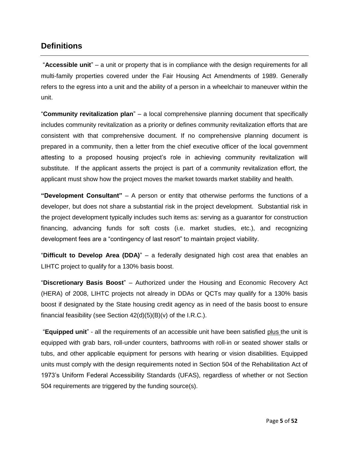#### **Definitions**

"**Accessible unit**" – a unit or property that is in compliance with the design requirements for all multi-family properties covered under the Fair Housing Act Amendments of 1989. Generally refers to the egress into a unit and the ability of a person in a wheelchair to maneuver within the unit.

"**Community revitalization plan**" – a local comprehensive planning document that specifically includes community revitalization as a priority or defines community revitalization efforts that are consistent with that comprehensive document. If no comprehensive planning document is prepared in a community, then a letter from the chief executive officer of the local government attesting to a proposed housing project's role in achieving community revitalization will substitute. If the applicant asserts the project is part of a community revitalization effort, the applicant must show how the project moves the market towards market stability and health.

**"Development Consultant"** – A person or entity that otherwise performs the functions of a developer, but does not share a substantial risk in the project development. Substantial risk in the project development typically includes such items as: serving as a guarantor for construction financing, advancing funds for soft costs (i.e. market studies, etc.), and recognizing development fees are a "contingency of last resort" to maintain project viability.

"**Difficult to Develop Area (DDA)**" – a federally designated high cost area that enables an LIHTC project to qualify for a 130% basis boost.

"**Discretionary Basis Boost**" – Authorized under the Housing and Economic Recovery Act (HERA) of 2008, LIHTC projects not already in DDAs or QCTs may qualify for a 130% basis boost if designated by the State housing credit agency as in need of the basis boost to ensure financial feasibility (see Section  $42(d)(5)(B)(v)$  of the I.R.C.).

"**Equipped unit**" - all the requirements of an accessible unit have been satisfied plus the unit is equipped with grab bars, roll-under counters, bathrooms with roll-in or seated shower stalls or tubs, and other applicable equipment for persons with hearing or vision disabilities. Equipped units must comply with the design requirements noted in Section 504 of the Rehabilitation Act of 1973's Uniform Federal Accessibility Standards (UFAS), regardless of whether or not Section 504 requirements are triggered by the funding source(s).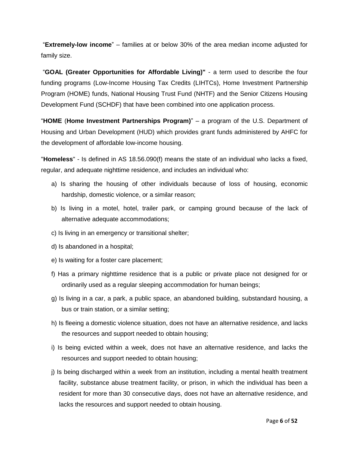"**Extremely-low income**" – families at or below 30% of the area median income adjusted for family size.

"**GOAL (Greater Opportunities for Affordable Living)"** - a term used to describe the four funding programs (Low-Income Housing Tax Credits (LIHTCs), Home Investment Partnership Program (HOME) funds, National Housing Trust Fund (NHTF) and the Senior Citizens Housing Development Fund (SCHDF) that have been combined into one application process.

"**HOME** (**Home Investment Partnerships Program)**" – a program of the U.S. Department of Housing and Urban Development (HUD) which provides grant funds administered by AHFC for the development of affordable low-income housing.

"**Homeless**" - Is defined in AS 18.56.090(f) means the state of an individual who lacks a fixed, regular, and adequate nighttime residence, and includes an individual who:

- a) Is sharing the housing of other individuals because of loss of housing, economic hardship, domestic violence, or a similar reason;
- b) Is living in a motel, hotel, trailer park, or camping ground because of the lack of alternative adequate accommodations;
- c) Is living in an emergency or transitional shelter;
- d) Is abandoned in a hospital;
- e) Is waiting for a foster care placement;
- f) Has a primary nighttime residence that is a public or private place not designed for or ordinarily used as a regular sleeping accommodation for human beings;
- g) Is living in a car, a park, a public space, an abandoned building, substandard housing, a bus or train station, or a similar setting;
- h) Is fleeing a domestic violence situation, does not have an alternative residence, and lacks the resources and support needed to obtain housing;
- i) Is being evicted within a week, does not have an alternative residence, and lacks the resources and support needed to obtain housing;
- j) Is being discharged within a week from an institution, including a mental health treatment facility, substance abuse treatment facility, or prison, in which the individual has been a resident for more than 30 consecutive days, does not have an alternative residence, and lacks the resources and support needed to obtain housing.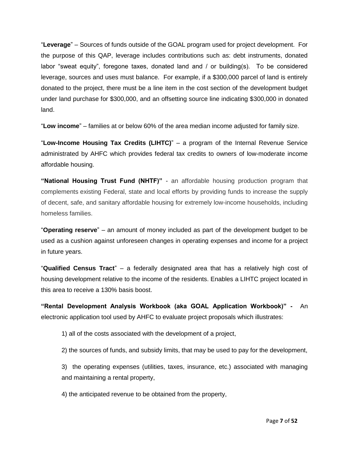"**Leverage**" – Sources of funds outside of the GOAL program used for project development. For the purpose of this QAP, leverage includes contributions such as: debt instruments, donated labor "sweat equity", foregone taxes, donated land and / or building(s). To be considered leverage, sources and uses must balance. For example, if a \$300,000 parcel of land is entirely donated to the project, there must be a line item in the cost section of the development budget under land purchase for \$300,000, and an offsetting source line indicating \$300,000 in donated land.

"**Low income**" – families at or below 60% of the area median income adjusted for family size.

"**Low-Income Housing Tax Credits (LIHTC)**" – a program of the Internal Revenue Service administrated by AHFC which provides federal tax credits to owners of low-moderate income affordable housing.

**"National Housing Trust Fund (NHTF)"** - an affordable housing production program that complements existing Federal, state and local efforts by providing funds to increase the supply of decent, safe, and sanitary affordable housing for extremely low-income households, including homeless families.

"**Operating reserve**" – an amount of money included as part of the development budget to be used as a cushion against unforeseen changes in operating expenses and income for a project in future years.

"**Qualified Census Tract**" – a federally designated area that has a relatively high cost of housing development relative to the income of the residents. Enables a LIHTC project located in this area to receive a 130% basis boost.

**"Rental Development Analysis Workbook (aka GOAL Application Workbook)" -** An electronic application tool used by AHFC to evaluate project proposals which illustrates:

1) all of the costs associated with the development of a project,

2) the sources of funds, and subsidy limits, that may be used to pay for the development,

3) the operating expenses (utilities, taxes, insurance, etc.) associated with managing and maintaining a rental property,

4) the anticipated revenue to be obtained from the property,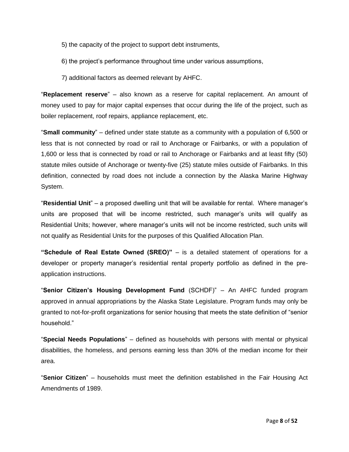- 5) the capacity of the project to support debt instruments,
- 6) the project's performance throughout time under various assumptions,
- 7) additional factors as deemed relevant by AHFC.

"**Replacement reserve**" – also known as a reserve for capital replacement. An amount of money used to pay for major capital expenses that occur during the life of the project, such as boiler replacement, roof repairs, appliance replacement, etc.

"**Small community**" – defined under state statute as a community with a population of 6,500 or less that is not connected by road or rail to Anchorage or Fairbanks, or with a population of 1,600 or less that is connected by road or rail to Anchorage or Fairbanks and at least fifty (50) statute miles outside of Anchorage or twenty-five (25) statute miles outside of Fairbanks. In this definition, connected by road does not include a connection by the Alaska Marine Highway System.

"**Residential Unit**" – a proposed dwelling unit that will be available for rental. Where manager's units are proposed that will be income restricted, such manager's units will qualify as Residential Units; however, where manager's units will not be income restricted, such units will not qualify as Residential Units for the purposes of this Qualified Allocation Plan.

**"Schedule of Real Estate Owned (SREO)"** – is a detailed statement of operations for a developer or property manager's residential rental property portfolio as defined in the preapplication instructions.

"**Senior Citizen's Housing Development Fund** (SCHDF)" – An AHFC funded program approved in annual appropriations by the Alaska State Legislature. Program funds may only be granted to not-for-profit organizations for senior housing that meets the state definition of "senior household."

"**Special Needs Populations**" – defined as households with persons with mental or physical disabilities, the homeless, and persons earning less than 30% of the median income for their area.

"**Senior Citizen**" – households must meet the definition established in the Fair Housing Act Amendments of 1989.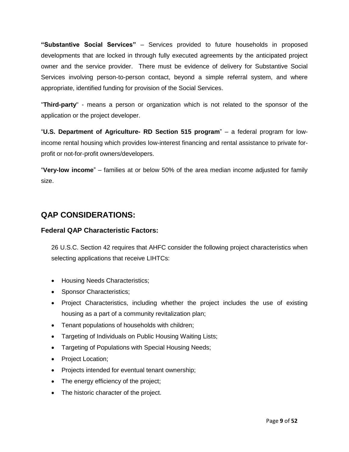**"Substantive Social Services"** – Services provided to future households in proposed developments that are locked in through fully executed agreements by the anticipated project owner and the service provider. There must be evidence of delivery for Substantive Social Services involving person-to-person contact, beyond a simple referral system, and where appropriate, identified funding for provision of the Social Services.

"**Third-party**" - means a person or organization which is not related to the sponsor of the application or the project developer.

"**U.S. Department of Agriculture- RD Section 515 program**" – a federal program for lowincome rental housing which provides low-interest financing and rental assistance to private forprofit or not-for-profit owners/developers.

"**Very-low income**" – families at or below 50% of the area median income adjusted for family size.

## **QAP CONSIDERATIONS:**

#### **Federal QAP Characteristic Factors:**

26 U.S.C. Section 42 requires that AHFC consider the following project characteristics when selecting applications that receive LIHTCs:

- Housing Needs Characteristics;
- Sponsor Characteristics;
- Project Characteristics, including whether the project includes the use of existing housing as a part of a community revitalization plan;
- Tenant populations of households with children;
- Targeting of Individuals on Public Housing Waiting Lists;
- Targeting of Populations with Special Housing Needs;
- Project Location;
- Projects intended for eventual tenant ownership;
- The energy efficiency of the project;
- The historic character of the project.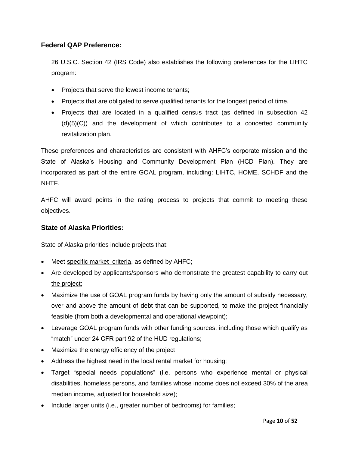#### **Federal QAP Preference:**

26 U.S.C. Section 42 (IRS Code) also establishes the following preferences for the LIHTC program:

- Projects that serve the lowest income tenants;
- Projects that are obligated to serve qualified tenants for the longest period of time.
- Projects that are located in a qualified census tract (as defined in subsection 42 (d)(5)(C)) and the development of which contributes to a concerted community revitalization plan.

These preferences and characteristics are consistent with AHFC's corporate mission and the State of Alaska's Housing and Community Development Plan (HCD Plan). They are incorporated as part of the entire GOAL program, including: LIHTC, HOME, SCHDF and the NHTF.

AHFC will award points in the rating process to projects that commit to meeting these objectives.

#### **State of Alaska Priorities:**

State of Alaska priorities include projects that:

- Meet specific market criteria, as defined by AHFC;
- Are developed by applicants/sponsors who demonstrate the greatest capability to carry out the project;
- Maximize the use of GOAL program funds by having only the amount of subsidy necessary, over and above the amount of debt that can be supported, to make the project financially feasible (from both a developmental and operational viewpoint);
- Leverage GOAL program funds with other funding sources, including those which qualify as "match" under 24 CFR part 92 of the HUD regulations;
- Maximize the energy efficiency of the project
- Address the highest need in the local rental market for housing;
- Target "special needs populations" (i.e. persons who experience mental or physical disabilities, homeless persons, and families whose income does not exceed 30% of the area median income, adjusted for household size);
- Include larger units (i.e., greater number of bedrooms) for families;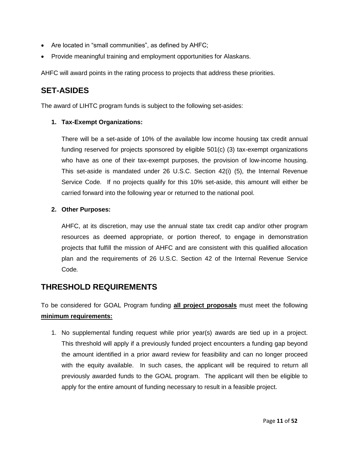- Are located in "small communities", as defined by AHFC;
- Provide meaningful training and employment opportunities for Alaskans.

AHFC will award points in the rating process to projects that address these priorities.

### **SET-ASIDES**

The award of LIHTC program funds is subject to the following set-asides:

#### **1. Tax-Exempt Organizations:**

There will be a set-aside of 10% of the available low income housing tax credit annual funding reserved for projects sponsored by eligible 501(c) (3) tax-exempt organizations who have as one of their tax-exempt purposes, the provision of low-income housing. This set-aside is mandated under 26 U.S.C. Section 42(i) (5), the Internal Revenue Service Code*.* If no projects qualify for this 10% set-aside, this amount will either be carried forward into the following year or returned to the national pool.

#### **2. Other Purposes:**

AHFC, at its discretion, may use the annual state tax credit cap and/or other program resources as deemed appropriate, or portion thereof, to engage in demonstration projects that fulfill the mission of AHFC and are consistent with this qualified allocation plan and the requirements of 26 U.S.C. Section 42 of the Internal Revenue Service Code*.*

## **THRESHOLD REQUIREMENTS**

To be considered for GOAL Program funding **all project proposals** must meet the following **minimum requirements:**

1. No supplemental funding request while prior year(s) awards are tied up in a project. This threshold will apply if a previously funded project encounters a funding gap beyond the amount identified in a prior award review for feasibility and can no longer proceed with the equity available. In such cases, the applicant will be required to return all previously awarded funds to the GOAL program. The applicant will then be eligible to apply for the entire amount of funding necessary to result in a feasible project.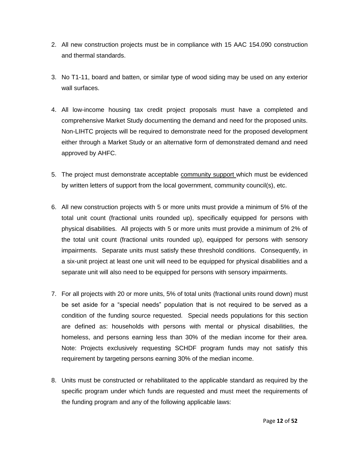- 2. All new construction projects must be in compliance with 15 AAC 154.090 construction and thermal standards.
- 3. No T1-11, board and batten, or similar type of wood siding may be used on any exterior wall surfaces.
- 4. All low-income housing tax credit project proposals must have a completed and comprehensive Market Study documenting the demand and need for the proposed units. Non-LIHTC projects will be required to demonstrate need for the proposed development either through a Market Study or an alternative form of demonstrated demand and need approved by AHFC.
- 5. The project must demonstrate acceptable community support which must be evidenced by written letters of support from the local government, community council(s), etc.
- 6. All new construction projects with 5 or more units must provide a minimum of 5% of the total unit count (fractional units rounded up), specifically equipped for persons with physical disabilities. All projects with 5 or more units must provide a minimum of 2% of the total unit count (fractional units rounded up), equipped for persons with sensory impairments. Separate units must satisfy these threshold conditions. Consequently, in a six-unit project at least one unit will need to be equipped for physical disabilities and a separate unit will also need to be equipped for persons with sensory impairments.
- 7. For all projects with 20 or more units, 5% of total units (fractional units round down) must be set aside for a "special needs" population that is not required to be served as a condition of the funding source requested. Special needs populations for this section are defined as: households with persons with mental or physical disabilities, the homeless, and persons earning less than 30% of the median income for their area. Note: Projects exclusively requesting SCHDF program funds may not satisfy this requirement by targeting persons earning 30% of the median income.
- 8. Units must be constructed or rehabilitated to the applicable standard as required by the specific program under which funds are requested and must meet the requirements of the funding program and any of the following applicable laws: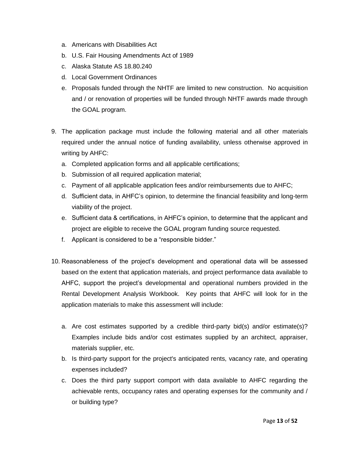- a. Americans with Disabilities Act
- b. U.S. Fair Housing Amendments Act of 1989
- c. Alaska Statute AS 18.80.240
- d. Local Government Ordinances
- e. Proposals funded through the NHTF are limited to new construction. No acquisition and / or renovation of properties will be funded through NHTF awards made through the GOAL program.
- 9. The application package must include the following material and all other materials required under the annual notice of funding availability, unless otherwise approved in writing by AHFC:
	- a. Completed application forms and all applicable certifications;
	- b. Submission of all required application material;
	- c. Payment of all applicable application fees and/or reimbursements due to AHFC;
	- d. Sufficient data, in AHFC's opinion, to determine the financial feasibility and long-term viability of the project.
	- e. Sufficient data & certifications, in AHFC's opinion, to determine that the applicant and project are eligible to receive the GOAL program funding source requested.
	- f. Applicant is considered to be a "responsible bidder."
- 10. Reasonableness of the project's development and operational data will be assessed based on the extent that application materials, and project performance data available to AHFC, support the project's developmental and operational numbers provided in the Rental Development Analysis Workbook. Key points that AHFC will look for in the application materials to make this assessment will include:
	- a. Are cost estimates supported by a credible third-party bid(s) and/or estimate(s)? Examples include bids and/or cost estimates supplied by an architect, appraiser, materials supplier, etc.
	- b. Is third-party support for the project's anticipated rents, vacancy rate, and operating expenses included?
	- c. Does the third party support comport with data available to AHFC regarding the achievable rents, occupancy rates and operating expenses for the community and / or building type?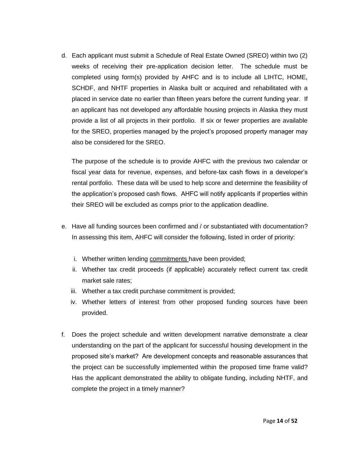d. Each applicant must submit a Schedule of Real Estate Owned (SREO) within two (2) weeks of receiving their pre-application decision letter. The schedule must be completed using form(s) provided by AHFC and is to include all LIHTC, HOME, SCHDF, and NHTF properties in Alaska built or acquired and rehabilitated with a placed in service date no earlier than fifteen years before the current funding year. If an applicant has not developed any affordable housing projects in Alaska they must provide a list of all projects in their portfolio. If six or fewer properties are available for the SREO, properties managed by the project's proposed property manager may also be considered for the SREO.

The purpose of the schedule is to provide AHFC with the previous two calendar or fiscal year data for revenue, expenses, and before-tax cash flows in a developer's rental portfolio. These data will be used to help score and determine the feasibility of the application's proposed cash flows. AHFC will notify applicants if properties within their SREO will be excluded as comps prior to the application deadline.

- e. Have all funding sources been confirmed and / or substantiated with documentation? In assessing this item, AHFC will consider the following, listed in order of priority:
	- i. Whether written lending commitments have been provided;
	- ii. Whether tax credit proceeds (if applicable) accurately reflect current tax credit market sale rates;
	- iii. Whether a tax credit purchase commitment is provided;
	- iv. Whether letters of interest from other proposed funding sources have been provided.
- f. Does the project schedule and written development narrative demonstrate a clear understanding on the part of the applicant for successful housing development in the proposed site's market? Are development concepts and reasonable assurances that the project can be successfully implemented within the proposed time frame valid? Has the applicant demonstrated the ability to obligate funding, including NHTF, and complete the project in a timely manner?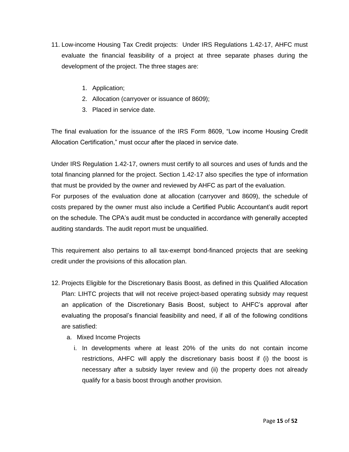- 11. Low-income Housing Tax Credit projects: Under IRS Regulations 1.42-17, AHFC must evaluate the financial feasibility of a project at three separate phases during the development of the project. The three stages are:
	- 1. Application;
	- 2. Allocation (carryover or issuance of 8609);
	- 3. Placed in service date.

The final evaluation for the issuance of the IRS Form 8609, "Low income Housing Credit Allocation Certification," must occur after the placed in service date.

Under IRS Regulation 1.42-17, owners must certify to all sources and uses of funds and the total financing planned for the project. Section 1.42-17 also specifies the type of information that must be provided by the owner and reviewed by AHFC as part of the evaluation.

For purposes of the evaluation done at allocation (carryover and 8609), the schedule of costs prepared by the owner must also include a Certified Public Accountant's audit report on the schedule. The CPA's audit must be conducted in accordance with generally accepted auditing standards. The audit report must be unqualified.

This requirement also pertains to all tax-exempt bond-financed projects that are seeking credit under the provisions of this allocation plan.

- 12. Projects Eligible for the Discretionary Basis Boost, as defined in this Qualified Allocation Plan: LIHTC projects that will not receive project-based operating subsidy may request an application of the Discretionary Basis Boost, subject to AHFC's approval after evaluating the proposal's financial feasibility and need, if all of the following conditions are satisfied:
	- a. Mixed Income Projects
		- i. In developments where at least 20% of the units do not contain income restrictions, AHFC will apply the discretionary basis boost if (i) the boost is necessary after a subsidy layer review and (ii) the property does not already qualify for a basis boost through another provision.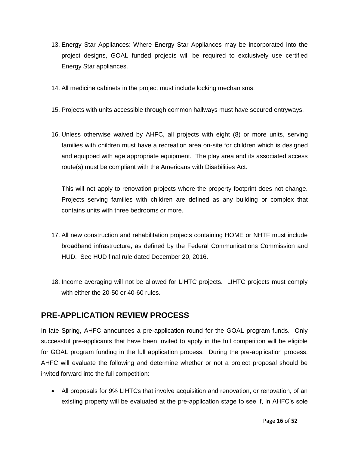- 13. Energy Star Appliances: Where Energy Star Appliances may be incorporated into the project designs, GOAL funded projects will be required to exclusively use certified Energy Star appliances.
- 14. All medicine cabinets in the project must include locking mechanisms.
- 15. Projects with units accessible through common hallways must have secured entryways.
- 16. Unless otherwise waived by AHFC, all projects with eight (8) or more units, serving families with children must have a recreation area on-site for children which is designed and equipped with age appropriate equipment. The play area and its associated access route(s) must be compliant with the Americans with Disabilities Act.

This will not apply to renovation projects where the property footprint does not change. Projects serving families with children are defined as any building or complex that contains units with three bedrooms or more.

- 17. All new construction and rehabilitation projects containing HOME or NHTF must include broadband infrastructure, as defined by the Federal Communications Commission and HUD. See HUD final rule dated December 20, 2016.
- 18. Income averaging will not be allowed for LIHTC projects. LIHTC projects must comply with either the 20-50 or 40-60 rules.

## **PRE-APPLICATION REVIEW PROCESS**

In late Spring, AHFC announces a pre-application round for the GOAL program funds. Only successful pre-applicants that have been invited to apply in the full competition will be eligible for GOAL program funding in the full application process. During the pre-application process, AHFC will evaluate the following and determine whether or not a project proposal should be invited forward into the full competition:

• All proposals for 9% LIHTCs that involve acquisition and renovation, or renovation, of an existing property will be evaluated at the pre-application stage to see if, in AHFC's sole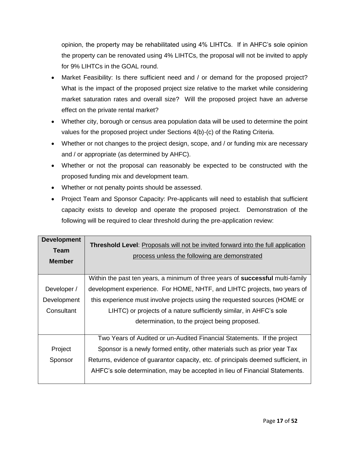opinion, the property may be rehabilitated using 4% LIHTCs. If in AHFC's sole opinion the property can be renovated using 4% LIHTCs, the proposal will not be invited to apply for 9% LIHTCs in the GOAL round.

- Market Feasibility: Is there sufficient need and / or demand for the proposed project? What is the impact of the proposed project size relative to the market while considering market saturation rates and overall size? Will the proposed project have an adverse effect on the private rental market?
- Whether city, borough or census area population data will be used to determine the point values for the proposed project under Sections 4(b)-(c) of the Rating Criteria.
- Whether or not changes to the project design, scope, and / or funding mix are necessary and / or appropriate (as determined by AHFC).
- Whether or not the proposal can reasonably be expected to be constructed with the proposed funding mix and development team.
- Whether or not penalty points should be assessed.
- Project Team and Sponsor Capacity: Pre-applicants will need to establish that sufficient capacity exists to develop and operate the proposed project. Demonstration of the following will be required to clear threshold during the pre-application review:

| <b>Development</b><br>Team<br><b>Member</b> | <b>Threshold Level:</b> Proposals will not be invited forward into the full application<br>process unless the following are demonstrated |
|---------------------------------------------|------------------------------------------------------------------------------------------------------------------------------------------|
|                                             | Within the past ten years, a minimum of three years of successful multi-family                                                           |
| Developer /                                 | development experience. For HOME, NHTF, and LIHTC projects, two years of                                                                 |
| Development                                 | this experience must involve projects using the requested sources (HOME or                                                               |
| Consultant                                  | LIHTC) or projects of a nature sufficiently similar, in AHFC's sole                                                                      |
|                                             | determination, to the project being proposed.                                                                                            |
|                                             | Two Years of Audited or un-Audited Financial Statements. If the project                                                                  |
| Project                                     | Sponsor is a newly formed entity, other materials such as prior year Tax                                                                 |
| Sponsor                                     | Returns, evidence of guarantor capacity, etc. of principals deemed sufficient, in                                                        |
|                                             | AHFC's sole determination, may be accepted in lieu of Financial Statements.                                                              |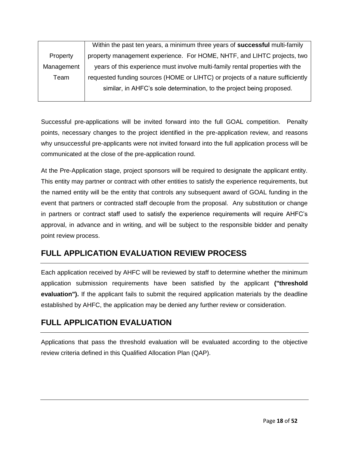|            | Within the past ten years, a minimum three years of successful multi-family    |
|------------|--------------------------------------------------------------------------------|
| Property   | property management experience. For HOME, NHTF, and LIHTC projects, two        |
| Management | years of this experience must involve multi-family rental properties with the  |
| Team       | requested funding sources (HOME or LIHTC) or projects of a nature sufficiently |
|            | similar, in AHFC's sole determination, to the project being proposed.          |
|            |                                                                                |

Successful pre-applications will be invited forward into the full GOAL competition. Penalty points, necessary changes to the project identified in the pre-application review, and reasons why unsuccessful pre-applicants were not invited forward into the full application process will be communicated at the close of the pre-application round.

At the Pre-Application stage, project sponsors will be required to designate the applicant entity. This entity may partner or contract with other entities to satisfy the experience requirements, but the named entity will be the entity that controls any subsequent award of GOAL funding in the event that partners or contracted staff decouple from the proposal. Any substitution or change in partners or contract staff used to satisfy the experience requirements will require AHFC's approval, in advance and in writing, and will be subject to the responsible bidder and penalty point review process.

## **FULL APPLICATION EVALUATION REVIEW PROCESS**

Each application received by AHFC will be reviewed by staff to determine whether the minimum application submission requirements have been satisfied by the applicant **("threshold evaluation").** If the applicant fails to submit the required application materials by the deadline established by AHFC, the application may be denied any further review or consideration.

## **FULL APPLICATION EVALUATION**

Applications that pass the threshold evaluation will be evaluated according to the objective review criteria defined in this Qualified Allocation Plan (QAP).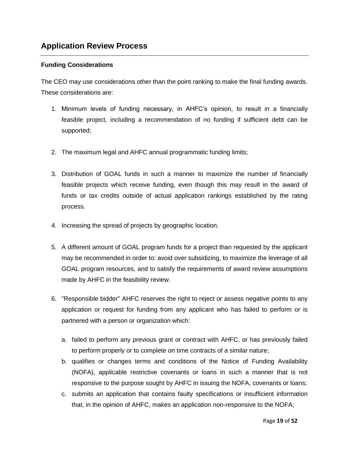#### **Funding Considerations**

The CEO may use considerations other than the point ranking to make the final funding awards. These considerations are:

- 1. Minimum levels of funding necessary, in AHFC's opinion, to result in a financially feasible project, including a recommendation of no funding if sufficient debt can be supported;
- 2. The maximum legal and AHFC annual programmatic funding limits;
- 3. Distribution of GOAL funds in such a manner to maximize the number of financially feasible projects which receive funding, even though this may result in the award of funds or tax credits outside of actual application rankings established by the rating process.
- 4. Increasing the spread of projects by geographic location.
- 5. A different amount of GOAL program funds for a project than requested by the applicant may be recommended in order to: avoid over subsidizing, to maximize the leverage of all GOAL program resources, and to satisfy the requirements of award review assumptions made by AHFC in the feasibility review.
- 6. "Responsible bidder" AHFC reserves the right to reject or assess negative points to any application or request for funding from any applicant who has failed to perform or is partnered with a person or organization which:
	- a. failed to perform any previous grant or contract with AHFC, or has previously failed to perform properly or to complete on time contracts of a similar nature;
	- b. qualifies or changes terms and conditions of the Notice of Funding Availability (NOFA), applicable restrictive covenants or loans in such a manner that is not responsive to the purpose sought by AHFC in issuing the NOFA, covenants or loans;
	- c. submits an application that contains faulty specifications or insufficient information that, in the opinion of AHFC, makes an application non-responsive to the NOFA;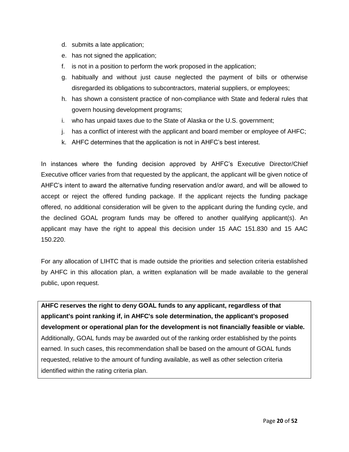- d. submits a late application;
- e. has not signed the application;
- f. is not in a position to perform the work proposed in the application;
- g. habitually and without just cause neglected the payment of bills or otherwise disregarded its obligations to subcontractors, material suppliers, or employees;
- h. has shown a consistent practice of non-compliance with State and federal rules that govern housing development programs;
- i. who has unpaid taxes due to the State of Alaska or the U.S. government;
- j. has a conflict of interest with the applicant and board member or employee of AHFC;
- k. AHFC determines that the application is not in AHFC's best interest.

In instances where the funding decision approved by AHFC's Executive Director/Chief Executive officer varies from that requested by the applicant, the applicant will be given notice of AHFC's intent to award the alternative funding reservation and/or award, and will be allowed to accept or reject the offered funding package. If the applicant rejects the funding package offered, no additional consideration will be given to the applicant during the funding cycle, and the declined GOAL program funds may be offered to another qualifying applicant(s). An applicant may have the right to appeal this decision under 15 AAC 151.830 and 15 AAC 150.220.

For any allocation of LIHTC that is made outside the priorities and selection criteria established by AHFC in this allocation plan, a written explanation will be made available to the general public, upon request.

**AHFC reserves the right to deny GOAL funds to any applicant, regardless of that applicant's point ranking if, in AHFC's sole determination, the applicant's proposed development or operational plan for the development is not financially feasible or viable.**  Additionally, GOAL funds may be awarded out of the ranking order established by the points earned. In such cases, this recommendation shall be based on the amount of GOAL funds requested, relative to the amount of funding available, as well as other selection criteria identified within the rating criteria plan.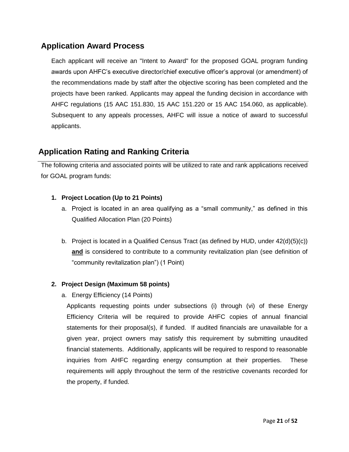## **Application Award Process**

Each applicant will receive an "Intent to Award" for the proposed GOAL program funding awards upon AHFC's executive director/chief executive officer's approval (or amendment) of the recommendations made by staff after the objective scoring has been completed and the projects have been ranked. Applicants may appeal the funding decision in accordance with AHFC regulations (15 AAC 151.830, 15 AAC 151.220 or 15 AAC 154.060, as applicable). Subsequent to any appeals processes, AHFC will issue a notice of award to successful applicants.

## **Application Rating and Ranking Criteria**

The following criteria and associated points will be utilized to rate and rank applications received for GOAL program funds:

#### **1. Project Location (Up to 21 Points)**

- a. Project is located in an area qualifying as a "small community," as defined in this Qualified Allocation Plan (20 Points)
- b. Project is located in a Qualified Census Tract (as defined by HUD, under 42(d)(5)(c)) **and** is considered to contribute to a community revitalization plan (see definition of "community revitalization plan") (1 Point)

#### **2. Project Design (Maximum 58 points)**

a. Energy Efficiency (14 Points)

Applicants requesting points under subsections (i) through (vi) of these Energy Efficiency Criteria will be required to provide AHFC copies of annual financial statements for their proposal(s), if funded. If audited financials are unavailable for a given year, project owners may satisfy this requirement by submitting unaudited financial statements. Additionally, applicants will be required to respond to reasonable inquiries from AHFC regarding energy consumption at their properties. These requirements will apply throughout the term of the restrictive covenants recorded for the property, if funded.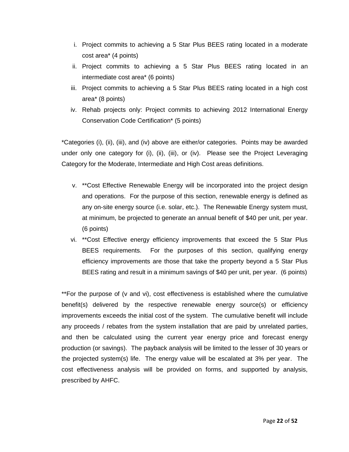- i. Project commits to achieving a 5 Star Plus BEES rating located in a moderate cost area\* (4 points)
- ii. Project commits to achieving a 5 Star Plus BEES rating located in an intermediate cost area\* (6 points)
- iii. Project commits to achieving a 5 Star Plus BEES rating located in a high cost area\* (8 points)
- iv. Rehab projects only: Project commits to achieving 2012 International Energy Conservation Code Certification\* (5 points)

\*Categories (i), (ii), (iii), and (iv) above are either/or categories. Points may be awarded under only one category for (i), (ii), (iii), or (iv). Please see the Project Leveraging Category for the Moderate, Intermediate and High Cost areas definitions.

- v. \*\*Cost Effective Renewable Energy will be incorporated into the project design and operations. For the purpose of this section, renewable energy is defined as any on-site energy source (i.e. solar, etc.). The Renewable Energy system must, at minimum, be projected to generate an annual benefit of \$40 per unit, per year. (6 points)
- vi. \*\*Cost Effective energy efficiency improvements that exceed the 5 Star Plus BEES requirements. For the purposes of this section, qualifying energy efficiency improvements are those that take the property beyond a 5 Star Plus BEES rating and result in a minimum savings of \$40 per unit, per year. (6 points)

\*\*For the purpose of (v and vi), cost effectiveness is established where the cumulative benefit(s) delivered by the respective renewable energy source(s) or efficiency improvements exceeds the initial cost of the system. The cumulative benefit will include any proceeds / rebates from the system installation that are paid by unrelated parties, and then be calculated using the current year energy price and forecast energy production (or savings). The payback analysis will be limited to the lesser of 30 years or the projected system(s) life. The energy value will be escalated at 3% per year. The cost effectiveness analysis will be provided on forms, and supported by analysis, prescribed by AHFC.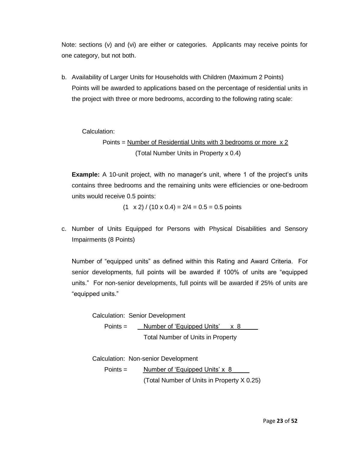Note: sections (v) and (vi) are either or categories. Applicants may receive points for one category, but not both.

b. Availability of Larger Units for Households with Children (Maximum 2 Points) Points will be awarded to applications based on the percentage of residential units in the project with three or more bedrooms, according to the following rating scale:

Calculation:

Points = Number of Residential Units with 3 bedrooms or more x 2 (Total Number Units in Property x 0.4)

**Example:** A 10-unit project, with no manager's unit, where 1 of the project's units contains three bedrooms and the remaining units were efficiencies or one-bedroom units would receive 0.5 points:

 $(1 \times 2) / (10 \times 0.4) = 2/4 = 0.5 = 0.5$  points

c. Number of Units Equipped for Persons with Physical Disabilities and Sensory Impairments (8 Points)

Number of "equipped units" as defined within this Rating and Award Criteria. For senior developments, full points will be awarded if 100% of units are "equipped units." For non-senior developments, full points will be awarded if 25% of units are "equipped units."

Calculation: Senior Development Points = Number of 'Equipped Units' x 8 Total Number of Units in Property

Calculation: Non-senior Development

Points = Number of 'Equipped Units' x 8 (Total Number of Units in Property X 0.25)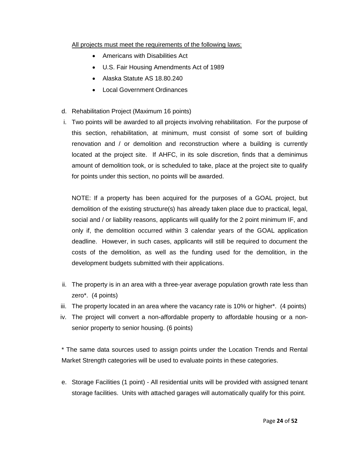#### All projects must meet the requirements of the following laws:

- Americans with Disabilities Act
- U.S. Fair Housing Amendments Act of 1989
- Alaska Statute AS 18.80.240
- Local Government Ordinances
- d. Rehabilitation Project (Maximum 16 points)
- i. Two points will be awarded to all projects involving rehabilitation. For the purpose of this section, rehabilitation, at minimum, must consist of some sort of building renovation and / or demolition and reconstruction where a building is currently located at the project site. If AHFC, in its sole discretion, finds that a deminimus amount of demolition took, or is scheduled to take, place at the project site to qualify for points under this section, no points will be awarded.

NOTE: If a property has been acquired for the purposes of a GOAL project, but demolition of the existing structure(s) has already taken place due to practical, legal, social and / or liability reasons, applicants will qualify for the 2 point minimum IF, and only if, the demolition occurred within 3 calendar years of the GOAL application deadline. However, in such cases, applicants will still be required to document the costs of the demolition, as well as the funding used for the demolition, in the development budgets submitted with their applications.

- ii. The property is in an area with a three-year average population growth rate less than zero\*. (4 points)
- iii. The property located in an area where the vacancy rate is 10% or higher\*. (4 points)
- iv. The project will convert a non-affordable property to affordable housing or a nonsenior property to senior housing. (6 points)

\* The same data sources used to assign points under the Location Trends and Rental Market Strength categories will be used to evaluate points in these categories.

e. Storage Facilities (1 point) - All residential units will be provided with assigned tenant storage facilities. Units with attached garages will automatically qualify for this point.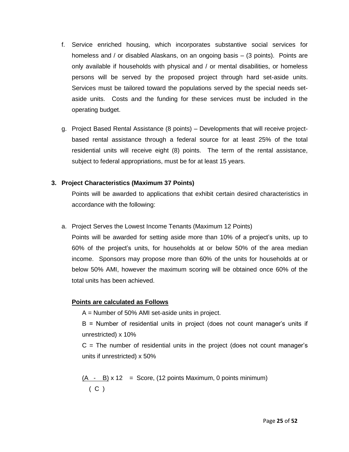- f. Service enriched housing, which incorporates substantive social services for homeless and / or disabled Alaskans, on an ongoing basis – (3 points). Points are only available if households with physical and / or mental disabilities, or homeless persons will be served by the proposed project through hard set-aside units. Services must be tailored toward the populations served by the special needs setaside units. Costs and the funding for these services must be included in the operating budget.
- g. Project Based Rental Assistance (8 points) Developments that will receive projectbased rental assistance through a federal source for at least 25% of the total residential units will receive eight (8) points. The term of the rental assistance, subject to federal appropriations, must be for at least 15 years.

#### **3. Project Characteristics (Maximum 37 Points)**

Points will be awarded to applications that exhibit certain desired characteristics in accordance with the following:

a. Project Serves the Lowest Income Tenants (Maximum 12 Points)

Points will be awarded for setting aside more than 10% of a project's units, up to 60% of the project's units, for households at or below 50% of the area median income. Sponsors may propose more than 60% of the units for households at or below 50% AMI, however the maximum scoring will be obtained once 60% of the total units has been achieved.

#### **Points are calculated as Follows**

A = Number of 50% AMI set-aside units in project.

B = Number of residential units in project (does not count manager's units if unrestricted) x 10%

 $C =$  The number of residential units in the project (does not count manager's units if unrestricted) x 50%

 $(A - B) \times 12 =$  Score, (12 points Maximum, 0 points minimum) ( C )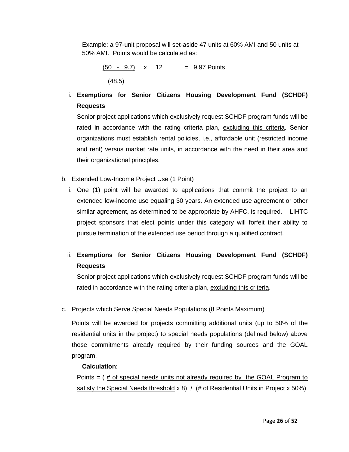Example: a 97-unit proposal will set-aside 47 units at 60% AMI and 50 units at 50% AMI. Points would be calculated as:

 $(50 - 9.7) \times 12 = 9.97$  Points (48.5)

## i. **Exemptions for Senior Citizens Housing Development Fund (SCHDF) Requests**

Senior project applications which exclusively request SCHDF program funds will be rated in accordance with the rating criteria plan, excluding this criteria. Senior organizations must establish rental policies, i.e., affordable unit (restricted income and rent) versus market rate units, in accordance with the need in their area and their organizational principles.

- b. Extended Low-Income Project Use (1 Point)
	- i. One (1) point will be awarded to applications that commit the project to an extended low-income use equaling 30 years. An extended use agreement or other similar agreement, as determined to be appropriate by AHFC, is required. LIHTC project sponsors that elect points under this category will forfeit their ability to pursue termination of the extended use period through a qualified contract.
	- ii. **Exemptions for Senior Citizens Housing Development Fund (SCHDF) Requests**

Senior project applications which exclusively request SCHDF program funds will be rated in accordance with the rating criteria plan, excluding this criteria.

c. Projects which Serve Special Needs Populations (8 Points Maximum)

Points will be awarded for projects committing additional units (up to 50% of the residential units in the project) to special needs populations (defined below) above those commitments already required by their funding sources and the GOAL program.

#### **Calculation**:

Points = ( # of special needs units not already required by the GOAL Program to satisfy the Special Needs threshold  $x$  8) / (# of Residential Units in Project  $x$  50%)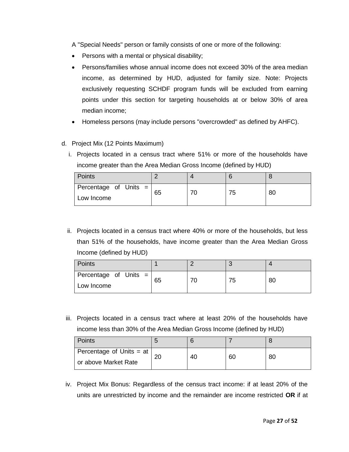A "Special Needs" person or family consists of one or more of the following:

- Persons with a mental or physical disability;
- Persons/families whose annual income does not exceed 30% of the area median income, as determined by HUD, adjusted for family size. Note: Projects exclusively requesting SCHDF program funds will be excluded from earning points under this section for targeting households at or below 30% of area median income;
- Homeless persons (may include persons "overcrowded" as defined by AHFC).
- d. Project Mix (12 Points Maximum)
	- i. Projects located in a census tract where 51% or more of the households have income greater than the Area Median Gross Income (defined by HUD)

| Points                                |    |    |    |
|---------------------------------------|----|----|----|
| Percentage of Units =  <br>Low Income | 65 | 75 | 80 |
|                                       |    |    |    |

ii. Projects located in a census tract where 40% or more of the households, but less than 51% of the households, have income greater than the Area Median Gross Income (defined by HUD)

| Points                                  |    |    |    |
|-----------------------------------------|----|----|----|
| Percentage of Units =  <br>  Low Income | 65 | 75 | 80 |

iii. Projects located in a census tract where at least 20% of the households have income less than 30% of the Area Median Gross Income (defined by HUD)

| Points                       |           |    |    |    |
|------------------------------|-----------|----|----|----|
| Percentage of Units = at $ $ | റ്റ<br>۷J | 40 | 60 | 80 |
| or above Market Rate         |           |    |    |    |

iv. Project Mix Bonus: Regardless of the census tract income: if at least 20% of the units are unrestricted by income and the remainder are income restricted **OR** if at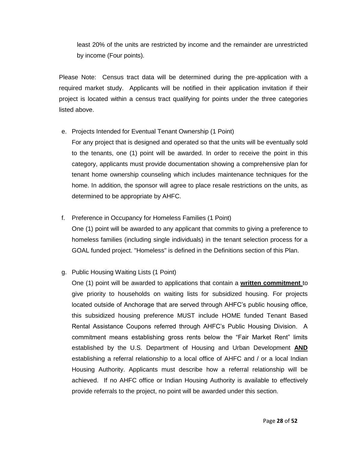least 20% of the units are restricted by income and the remainder are unrestricted by income (Four points).

Please Note: Census tract data will be determined during the pre-application with a required market study. Applicants will be notified in their application invitation if their project is located within a census tract qualifying for points under the three categories listed above.

#### e. Projects Intended for Eventual Tenant Ownership (1 Point)

For any project that is designed and operated so that the units will be eventually sold to the tenants, one (1) point will be awarded. In order to receive the point in this category, applicants must provide documentation showing a comprehensive plan for tenant home ownership counseling which includes maintenance techniques for the home. In addition, the sponsor will agree to place resale restrictions on the units, as determined to be appropriate by AHFC.

#### f. Preference in Occupancy for Homeless Families (1 Point)

One (1) point will be awarded to any applicant that commits to giving a preference to homeless families (including single individuals) in the tenant selection process for a GOAL funded project. "Homeless" is defined in the Definitions section of this Plan.

#### g. Public Housing Waiting Lists (1 Point)

One (1) point will be awarded to applications that contain a **written commitment** to give priority to households on waiting lists for subsidized housing. For projects located outside of Anchorage that are served through AHFC's public housing office, this subsidized housing preference MUST include HOME funded Tenant Based Rental Assistance Coupons referred through AHFC's Public Housing Division. A commitment means establishing gross rents below the "Fair Market Rent" limits established by the U.S. Department of Housing and Urban Development **AND**  establishing a referral relationship to a local office of AHFC and / or a local Indian Housing Authority. Applicants must describe how a referral relationship will be achieved. If no AHFC office or Indian Housing Authority is available to effectively provide referrals to the project, no point will be awarded under this section.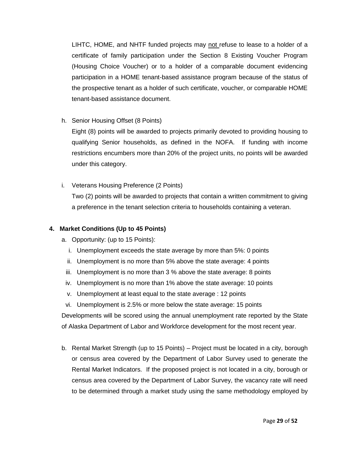LIHTC, HOME, and NHTF funded projects may not refuse to lease to a holder of a certificate of family participation under the Section 8 Existing Voucher Program (Housing Choice Voucher) or to a holder of a comparable document evidencing participation in a HOME tenant-based assistance program because of the status of the prospective tenant as a holder of such certificate, voucher, or comparable HOME tenant-based assistance document.

h. Senior Housing Offset (8 Points)

Eight (8) points will be awarded to projects primarily devoted to providing housing to qualifying Senior households, as defined in the NOFA. If funding with income restrictions encumbers more than 20% of the project units, no points will be awarded under this category.

i. Veterans Housing Preference (2 Points)

Two (2) points will be awarded to projects that contain a written commitment to giving a preference in the tenant selection criteria to households containing a veteran.

#### **4. Market Conditions (Up to 45 Points)**

- a. Opportunity: (up to 15 Points):
	- i. Unemployment exceeds the state average by more than 5%: 0 points
	- ii. Unemployment is no more than 5% above the state average: 4 points
	- iii. Unemployment is no more than 3 % above the state average: 8 points
	- iv. Unemployment is no more than 1% above the state average: 10 points
	- v. Unemployment at least equal to the state average : 12 points
	- vi. Unemployment is 2.5% or more below the state average: 15 points

Developments will be scored using the annual unemployment rate reported by the State of Alaska Department of Labor and Workforce development for the most recent year.

b. Rental Market Strength (up to 15 Points) – Project must be located in a city, borough or census area covered by the Department of Labor Survey used to generate the Rental Market Indicators. If the proposed project is not located in a city, borough or census area covered by the Department of Labor Survey, the vacancy rate will need to be determined through a market study using the same methodology employed by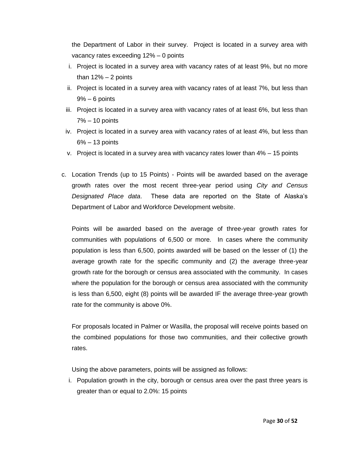the Department of Labor in their survey. Project is located in a survey area with vacancy rates exceeding 12% – 0 points

- i. Project is located in a survey area with vacancy rates of at least 9%, but no more than  $12\% - 2$  points
- ii. Project is located in a survey area with vacancy rates of at least 7%, but less than 9% – 6 points
- iii. Project is located in a survey area with vacancy rates of at least 6%, but less than 7% – 10 points
- iv. Project is located in a survey area with vacancy rates of at least 4%, but less than 6% – 13 points
- v. Project is located in a survey area with vacancy rates lower than 4% 15 points
- c. Location Trends (up to 15 Points) Points will be awarded based on the average growth rates over the most recent three-year period using *City and Census Designated Place data*. These data are reported on the State of Alaska's Department of Labor and Workforce Development website.

Points will be awarded based on the average of three-year growth rates for communities with populations of 6,500 or more. In cases where the community population is less than 6,500, points awarded will be based on the lesser of (1) the average growth rate for the specific community and (2) the average three-year growth rate for the borough or census area associated with the community. In cases where the population for the borough or census area associated with the community is less than 6,500, eight (8) points will be awarded IF the average three-year growth rate for the community is above 0%.

For proposals located in Palmer or Wasilla, the proposal will receive points based on the combined populations for those two communities, and their collective growth rates.

Using the above parameters, points will be assigned as follows:

i. Population growth in the city, borough or census area over the past three years is greater than or equal to 2.0%: 15 points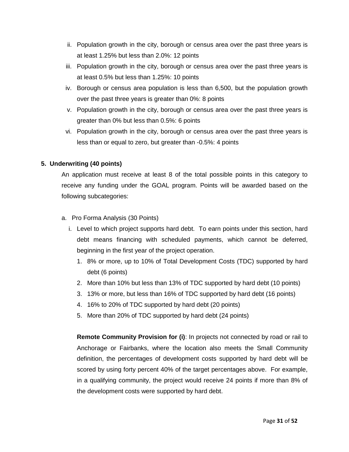- ii. Population growth in the city, borough or census area over the past three years is at least 1.25% but less than 2.0%: 12 points
- iii. Population growth in the city, borough or census area over the past three years is at least 0.5% but less than 1.25%: 10 points
- iv. Borough or census area population is less than 6,500, but the population growth over the past three years is greater than 0%: 8 points
- v. Population growth in the city, borough or census area over the past three years is greater than 0% but less than 0.5%: 6 points
- vi. Population growth in the city, borough or census area over the past three years is less than or equal to zero, but greater than -0.5%: 4 points

#### **5. Underwriting (40 points)**

An application must receive at least 8 of the total possible points in this category to receive any funding under the GOAL program. Points will be awarded based on the following subcategories:

- a. Pro Forma Analysis (30 Points)
	- i. Level to which project supports hard debt. To earn points under this section, hard debt means financing with scheduled payments, which cannot be deferred, beginning in the first year of the project operation.
		- 1. 8% or more, up to 10% of Total Development Costs (TDC) supported by hard debt (6 points)
		- 2. More than 10% but less than 13% of TDC supported by hard debt (10 points)
		- 3. 13% or more, but less than 16% of TDC supported by hard debt (16 points)
		- 4. 16% to 20% of TDC supported by hard debt (20 points)
		- 5. More than 20% of TDC supported by hard debt (24 points)

**Remote Community Provision for (i)**: In projects not connected by road or rail to Anchorage or Fairbanks, where the location also meets the Small Community definition, the percentages of development costs supported by hard debt will be scored by using forty percent 40% of the target percentages above. For example, in a qualifying community, the project would receive 24 points if more than 8% of the development costs were supported by hard debt.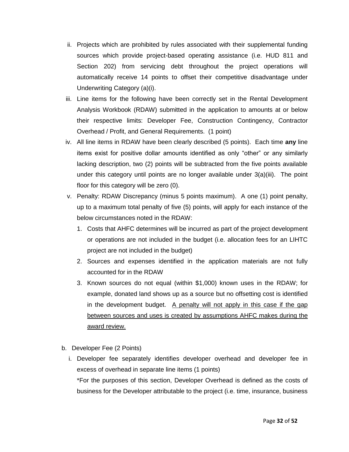- ii. Projects which are prohibited by rules associated with their supplemental funding sources which provide project-based operating assistance (i.e. HUD 811 and Section 202) from servicing debt throughout the project operations will automatically receive 14 points to offset their competitive disadvantage under Underwriting Category (a)(i).
- iii. Line items for the following have been correctly set in the Rental Development Analysis Workbook (RDAW) submitted in the application to amounts at or below their respective limits: Developer Fee, Construction Contingency, Contractor Overhead / Profit, and General Requirements. (1 point)
- iv. All line items in RDAW have been clearly described (5 points). Each time **any** line items exist for positive dollar amounts identified as only "other" or any similarly lacking description, two (2) points will be subtracted from the five points available under this category until points are no longer available under 3(a)(iii). The point floor for this category will be zero (0).
- v. Penalty: RDAW Discrepancy (minus 5 points maximum). A one (1) point penalty, up to a maximum total penalty of five (5) points, will apply for each instance of the below circumstances noted in the RDAW:
	- 1. Costs that AHFC determines will be incurred as part of the project development or operations are not included in the budget (i.e. allocation fees for an LIHTC project are not included in the budget)
	- 2. Sources and expenses identified in the application materials are not fully accounted for in the RDAW
	- 3. Known sources do not equal (within \$1,000) known uses in the RDAW; for example, donated land shows up as a source but no offsetting cost is identified in the development budget. A penalty will not apply in this case if the gap between sources and uses is created by assumptions AHFC makes during the award review.
- b. Developer Fee (2 Points)
	- i. Developer fee separately identifies developer overhead and developer fee in excess of overhead in separate line items (1 points) \*For the purposes of this section, Developer Overhead is defined as the costs of business for the Developer attributable to the project (i.e. time, insurance, business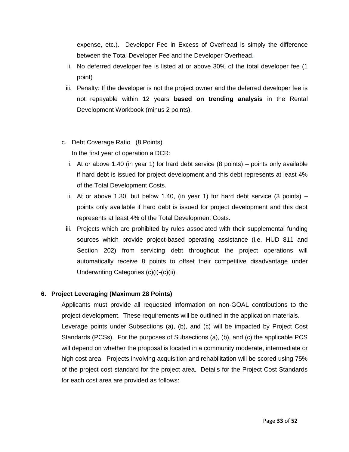expense, etc.). Developer Fee in Excess of Overhead is simply the difference between the Total Developer Fee and the Developer Overhead.

- ii. No deferred developer fee is listed at or above 30% of the total developer fee (1 point)
- iii. Penalty: If the developer is not the project owner and the deferred developer fee is not repayable within 12 years **based on trending analysis** in the Rental Development Workbook (minus 2 points).
- c. Debt Coverage Ratio (8 Points) In the first year of operation a DCR:
	- i. At or above 1.40 (in year 1) for hard debt service (8 points) points only available if hard debt is issued for project development and this debt represents at least 4% of the Total Development Costs.
	- ii. At or above 1.30, but below 1.40, (in year 1) for hard debt service (3 points)  $$ points only available if hard debt is issued for project development and this debt represents at least 4% of the Total Development Costs.
	- iii. Projects which are prohibited by rules associated with their supplemental funding sources which provide project-based operating assistance (i.e. HUD 811 and Section 202) from servicing debt throughout the project operations will automatically receive 8 points to offset their competitive disadvantage under Underwriting Categories (c)(i)-(c)(ii).

#### **6. Project Leveraging (Maximum 28 Points)**

Applicants must provide all requested information on non-GOAL contributions to the project development. These requirements will be outlined in the application materials. Leverage points under Subsections (a), (b), and (c) will be impacted by Project Cost Standards (PCSs). For the purposes of Subsections (a), (b), and (c) the applicable PCS will depend on whether the proposal is located in a community moderate, intermediate or high cost area. Projects involving acquisition and rehabilitation will be scored using 75% of the project cost standard for the project area. Details for the Project Cost Standards for each cost area are provided as follows: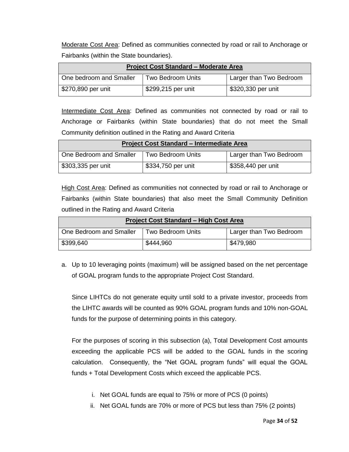Moderate Cost Area: Defined as communities connected by road or rail to Anchorage or Fairbanks (within the State boundaries).

| <b>Project Cost Standard - Moderate Area</b> |                          |                         |  |  |
|----------------------------------------------|--------------------------|-------------------------|--|--|
| One bedroom and Smaller                      | <b>Two Bedroom Units</b> | Larger than Two Bedroom |  |  |
| \$270,890 per unit                           | \$299,215 per unit       | \$320,330 per unit      |  |  |

Intermediate Cost Area: Defined as communities not connected by road or rail to Anchorage or Fairbanks (within State boundaries) that do not meet the Small Community definition outlined in the Rating and Award Criteria

| <b>Project Cost Standard - Intermediate Area</b> |                    |                         |  |  |  |
|--------------------------------------------------|--------------------|-------------------------|--|--|--|
| One Bedroom and Smaller                          | Two Bedroom Units  | Larger than Two Bedroom |  |  |  |
| \$303,335 per unit                               | \$334,750 per unit | \$358,440 per unit      |  |  |  |

High Cost Area: Defined as communities not connected by road or rail to Anchorage or Fairbanks (within State boundaries) that also meet the Small Community Definition outlined in the Rating and Award Criteria

| <b>Project Cost Standard - High Cost Area</b> |                   |                         |  |  |
|-----------------------------------------------|-------------------|-------------------------|--|--|
| One Bedroom and Smaller                       | Two Bedroom Units | Larger than Two Bedroom |  |  |
| \$399,640                                     | \$444,960         | \$479,980               |  |  |

a. Up to 10 leveraging points (maximum) will be assigned based on the net percentage of GOAL program funds to the appropriate Project Cost Standard.

Since LIHTCs do not generate equity until sold to a private investor, proceeds from the LIHTC awards will be counted as 90% GOAL program funds and 10% non-GOAL funds for the purpose of determining points in this category.

For the purposes of scoring in this subsection (a), Total Development Cost amounts exceeding the applicable PCS will be added to the GOAL funds in the scoring calculation. Consequently, the "Net GOAL program funds" will equal the GOAL funds + Total Development Costs which exceed the applicable PCS.

- i. Net GOAL funds are equal to 75% or more of PCS (0 points)
- ii. Net GOAL funds are 70% or more of PCS but less than 75% (2 points)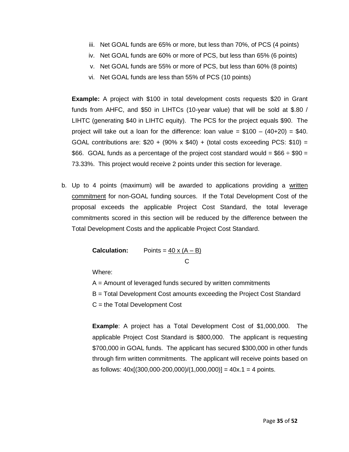- iii. Net GOAL funds are 65% or more, but less than 70%, of PCS (4 points)
- iv. Net GOAL funds are 60% or more of PCS, but less than 65% (6 points)
- v. Net GOAL funds are 55% or more of PCS, but less than 60% (8 points)
- vi. Net GOAL funds are less than 55% of PCS (10 points)

**Example:** A project with \$100 in total development costs requests \$20 in Grant funds from AHFC, and \$50 in LIHTCs (10-year value) that will be sold at \$.80 / LIHTC (generating \$40 in LIHTC equity). The PCS for the project equals \$90. The project will take out a loan for the difference: loan value =  $$100 - (40+20) = $40$ . GOAL contributions are:  $$20 + (90\% \times $40) + (total costs exceeding PCS: $10) =$ \$66. GOAL funds as a percentage of the project cost standard would = \$66  $\div$  \$90 = 73.33%. This project would receive 2 points under this section for leverage.

b. Up to 4 points (maximum) will be awarded to applications providing a written commitment for non-GOAL funding sources. If the Total Development Cost of the proposal exceeds the applicable Project Cost Standard, the total leverage commitments scored in this section will be reduced by the difference between the Total Development Costs and the applicable Project Cost Standard.

> **Calculation:** Points =  $40 \times (A - B)$ **C** and the contract of the contract of the contract of the contract of the contract of the contract of the contract of the contract of the contract of the contract of the contract of the contract of the contract of the co

Where:

A = Amount of leveraged funds secured by written commitments

B = Total Development Cost amounts exceeding the Project Cost Standard

C = the Total Development Cost

**Example**: A project has a Total Development Cost of \$1,000,000. The applicable Project Cost Standard is \$800,000. The applicant is requesting \$700,000 in GOAL funds. The applicant has secured \$300,000 in other funds through firm written commitments. The applicant will receive points based on as follows:  $40x[(300,000-200,000)/(1,000,000)] = 40x.1 = 4$  points.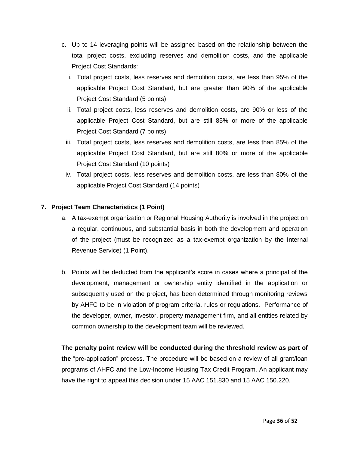- c. Up to 14 leveraging points will be assigned based on the relationship between the total project costs, excluding reserves and demolition costs, and the applicable Project Cost Standards:
	- i. Total project costs, less reserves and demolition costs, are less than 95% of the applicable Project Cost Standard, but are greater than 90% of the applicable Project Cost Standard (5 points)
	- ii. Total project costs, less reserves and demolition costs, are 90% or less of the applicable Project Cost Standard, but are still 85% or more of the applicable Project Cost Standard (7 points)
	- iii. Total project costs, less reserves and demolition costs, are less than 85% of the applicable Project Cost Standard, but are still 80% or more of the applicable Project Cost Standard (10 points)
	- iv. Total project costs, less reserves and demolition costs, are less than 80% of the applicable Project Cost Standard (14 points)

#### **7. Project Team Characteristics (1 Point)**

- a. A tax-exempt organization or Regional Housing Authority is involved in the project on a regular, continuous, and substantial basis in both the development and operation of the project (must be recognized as a tax-exempt organization by the Internal Revenue Service) (1 Point).
- b. Points will be deducted from the applicant's score in cases where a principal of the development, management or ownership entity identified in the application or subsequently used on the project, has been determined through monitoring reviews by AHFC to be in violation of program criteria, rules or regulations. Performance of the developer, owner, investor, property management firm, and all entities related by common ownership to the development team will be reviewed.

**The penalty point review will be conducted during the threshold review as part of the** "pre**-**application" process. The procedure will be based on a review of all grant/loan programs of AHFC and the Low-Income Housing Tax Credit Program. An applicant may have the right to appeal this decision under 15 AAC 151.830 and 15 AAC 150.220.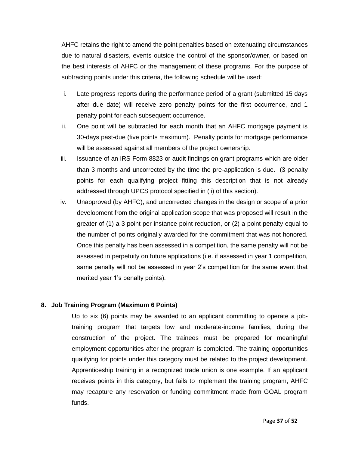AHFC retains the right to amend the point penalties based on extenuating circumstances due to natural disasters, events outside the control of the sponsor/owner, or based on the best interests of AHFC or the management of these programs. For the purpose of subtracting points under this criteria, the following schedule will be used:

- i. Late progress reports during the performance period of a grant (submitted 15 days after due date) will receive zero penalty points for the first occurrence, and 1 penalty point for each subsequent occurrence.
- ii. One point will be subtracted for each month that an AHFC mortgage payment is 30-days past-due (five points maximum). Penalty points for mortgage performance will be assessed against all members of the project ownership.
- iii. Issuance of an IRS Form 8823 or audit findings on grant programs which are older than 3 months and uncorrected by the time the pre-application is due. (3 penalty points for each qualifying project fitting this description that is not already addressed through UPCS protocol specified in (ii) of this section).
- iv. Unapproved (by AHFC), and uncorrected changes in the design or scope of a prior development from the original application scope that was proposed will result in the greater of (1) a 3 point per instance point reduction, or (2) a point penalty equal to the number of points originally awarded for the commitment that was not honored. Once this penalty has been assessed in a competition, the same penalty will not be assessed in perpetuity on future applications (i.e. if assessed in year 1 competition, same penalty will not be assessed in year 2's competition for the same event that merited year 1's penalty points).

#### **8. Job Training Program (Maximum 6 Points)**

Up to six (6) points may be awarded to an applicant committing to operate a jobtraining program that targets low and moderate-income families, during the construction of the project. The trainees must be prepared for meaningful employment opportunities after the program is completed. The training opportunities qualifying for points under this category must be related to the project development. Apprenticeship training in a recognized trade union is one example. If an applicant receives points in this category, but fails to implement the training program, AHFC may recapture any reservation or funding commitment made from GOAL program funds.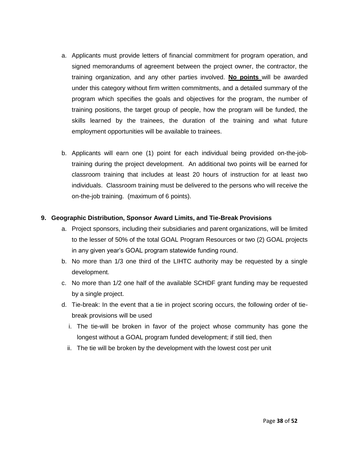- a. Applicants must provide letters of financial commitment for program operation, and signed memorandums of agreement between the project owner, the contractor, the training organization, and any other parties involved. **No points** will be awarded under this category without firm written commitments, and a detailed summary of the program which specifies the goals and objectives for the program, the number of training positions, the target group of people, how the program will be funded, the skills learned by the trainees, the duration of the training and what future employment opportunities will be available to trainees.
- b. Applicants will earn one (1) point for each individual being provided on-the-jobtraining during the project development. An additional two points will be earned for classroom training that includes at least 20 hours of instruction for at least two individuals. Classroom training must be delivered to the persons who will receive the on-the-job training. (maximum of 6 points).

#### **9. Geographic Distribution, Sponsor Award Limits, and Tie-Break Provisions**

- a. Project sponsors, including their subsidiaries and parent organizations, will be limited to the lesser of 50% of the total GOAL Program Resources or two (2) GOAL projects in any given year's GOAL program statewide funding round.
- b. No more than 1/3 one third of the LIHTC authority may be requested by a single development.
- c. No more than 1/2 one half of the available SCHDF grant funding may be requested by a single project.
- d. Tie-break: In the event that a tie in project scoring occurs, the following order of tiebreak provisions will be used
	- i. The tie-will be broken in favor of the project whose community has gone the longest without a GOAL program funded development; if still tied, then
	- ii. The tie will be broken by the development with the lowest cost per unit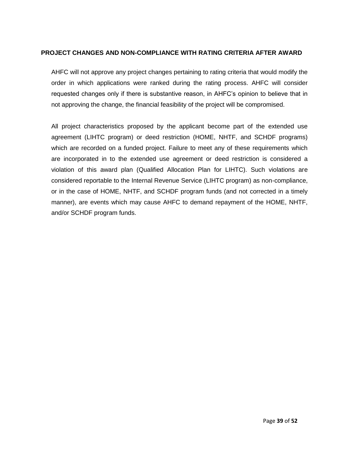#### **PROJECT CHANGES AND NON-COMPLIANCE WITH RATING CRITERIA AFTER AWARD**

AHFC will not approve any project changes pertaining to rating criteria that would modify the order in which applications were ranked during the rating process. AHFC will consider requested changes only if there is substantive reason, in AHFC's opinion to believe that in not approving the change, the financial feasibility of the project will be compromised.

All project characteristics proposed by the applicant become part of the extended use agreement (LIHTC program) or deed restriction (HOME, NHTF, and SCHDF programs) which are recorded on a funded project. Failure to meet any of these requirements which are incorporated in to the extended use agreement or deed restriction is considered a violation of this award plan (Qualified Allocation Plan for LIHTC). Such violations are considered reportable to the Internal Revenue Service (LIHTC program) as non-compliance, or in the case of HOME, NHTF, and SCHDF program funds (and not corrected in a timely manner), are events which may cause AHFC to demand repayment of the HOME, NHTF, and/or SCHDF program funds.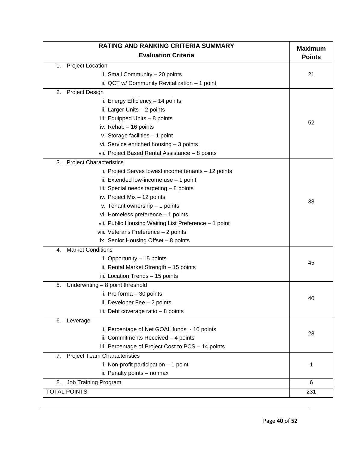| <b>RATING AND RANKING CRITERIA SUMMARY</b>            |                                 |  |  |  |
|-------------------------------------------------------|---------------------------------|--|--|--|
| <b>Evaluation Criteria</b>                            | <b>Maximum</b><br><b>Points</b> |  |  |  |
| <b>Project Location</b><br>1.                         |                                 |  |  |  |
| i. Small Community - 20 points                        | 21                              |  |  |  |
| ii. QCT w/ Community Revitalization - 1 point         |                                 |  |  |  |
| Project Design<br>2.                                  |                                 |  |  |  |
| i. Energy Efficiency - 14 points                      |                                 |  |  |  |
| ii. Larger Units - 2 points                           |                                 |  |  |  |
| iii. Equipped Units - 8 points                        | 52                              |  |  |  |
| iv. Rehab - 16 points                                 |                                 |  |  |  |
| v. Storage facilities - 1 point                       |                                 |  |  |  |
| vi. Service enriched housing - 3 points               |                                 |  |  |  |
| vii. Project Based Rental Assistance - 8 points       |                                 |  |  |  |
| 3.<br><b>Project Characteristics</b>                  |                                 |  |  |  |
| i. Project Serves lowest income tenants - 12 points   |                                 |  |  |  |
| ii. Extended low-income use - 1 point                 |                                 |  |  |  |
| iii. Special needs targeting $-8$ points              |                                 |  |  |  |
| iv. Project Mix - 12 points                           |                                 |  |  |  |
| v. Tenant ownership - 1 points                        | 38                              |  |  |  |
| vi. Homeless preference - 1 points                    |                                 |  |  |  |
| vii. Public Housing Waiting List Preference - 1 point |                                 |  |  |  |
| viii. Veterans Preference - 2 points                  |                                 |  |  |  |
| ix. Senior Housing Offset - 8 points                  |                                 |  |  |  |
| <b>Market Conditions</b><br>4.                        |                                 |  |  |  |
| i. Opportunity - 15 points                            |                                 |  |  |  |
| ii. Rental Market Strength - 15 points                | 45                              |  |  |  |
| iii. Location Trends - 15 points                      |                                 |  |  |  |
| 5.<br>Underwriting - 8 point threshold                |                                 |  |  |  |
| i. Pro forma - 30 points                              |                                 |  |  |  |
| ii. Developer Fee - 2 points                          | 40                              |  |  |  |
| iii. Debt coverage ratio - 8 points                   |                                 |  |  |  |
| 6.<br>Leverage                                        |                                 |  |  |  |
| i. Percentage of Net GOAL funds - 10 points           |                                 |  |  |  |
| ii. Commitments Received - 4 points                   | 28                              |  |  |  |
| iii. Percentage of Project Cost to PCS - 14 points    |                                 |  |  |  |
| <b>Project Team Characteristics</b><br>7.             |                                 |  |  |  |
| i. Non-profit participation $-1$ point                | 1                               |  |  |  |
| ii. Penalty points - no max                           |                                 |  |  |  |
| 8.<br>Job Training Program                            | 6                               |  |  |  |
| TOTAL POINTS                                          | 231                             |  |  |  |
|                                                       |                                 |  |  |  |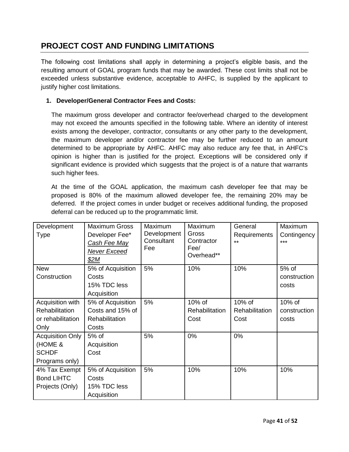## **PROJECT COST AND FUNDING LIMITATIONS**

The following cost limitations shall apply in determining a project's eligible basis, and the resulting amount of GOAL program funds that may be awarded. These cost limits shall not be exceeded unless substantive evidence, acceptable to AHFC, is supplied by the applicant to justify higher cost limitations.

#### **1. Developer/General Contractor Fees and Costs:**

The maximum gross developer and contractor fee/overhead charged to the development may not exceed the amounts specified in the following table. Where an identity of interest exists among the developer, contractor, consultants or any other party to the development, the maximum developer and/or contractor fee may be further reduced to an amount determined to be appropriate by AHFC. AHFC may also reduce any fee that, in AHFC's opinion is higher than is justified for the project. Exceptions will be considered only if significant evidence is provided which suggests that the project is of a nature that warrants such higher fees.

At the time of the GOAL application, the maximum cash developer fee that may be proposed is 80% of the maximum allowed developer fee, the remaining 20% may be deferred. If the project comes in under budget or receives additional funding, the proposed deferral can be reduced up to the programmatic limit.

| Development             | <b>Maximum Gross</b> | Maximum     | Maximum            | General        | Maximum      |
|-------------------------|----------------------|-------------|--------------------|----------------|--------------|
| Type                    | Developer Fee*       | Development | Gross              | Requirements   | Contingency  |
|                         | <u>Cash Fee May</u>  | Consultant  | Contractor         | $***$          | ***          |
|                         | Never Exceed         | Fee         | Fee/<br>Overhead** |                |              |
|                         | \$2M                 |             |                    |                |              |
| <b>New</b>              | 5% of Acquisition    | 5%          | 10%                | 10%            | 5% of        |
| Construction            | Costs                |             |                    |                | construction |
|                         | 15% TDC less         |             |                    |                | costs        |
|                         | Acquisition          |             |                    |                |              |
| Acquisition with        | 5% of Acquisition    | 5%          | 10% of             | 10% of         | 10% of       |
| Rehabilitation          | Costs and 15% of     |             | Rehabilitation     | Rehabilitation | construction |
| or rehabilitation       | Rehabilitation       |             | Cost               | Cost           | costs        |
| Only                    | Costs                |             |                    |                |              |
| <b>Acquisition Only</b> | 5% of                | 5%          | 0%                 | 0%             |              |
| (HOME &                 | Acquisition          |             |                    |                |              |
| <b>SCHDF</b>            | Cost                 |             |                    |                |              |
| Programs only)          |                      |             |                    |                |              |
| 4% Tax Exempt           | 5% of Acquisition    | 5%          | 10%                | 10%            | 10%          |
| <b>Bond LIHTC</b>       | Costs                |             |                    |                |              |
| Projects (Only)         | 15% TDC less         |             |                    |                |              |
|                         | Acquisition          |             |                    |                |              |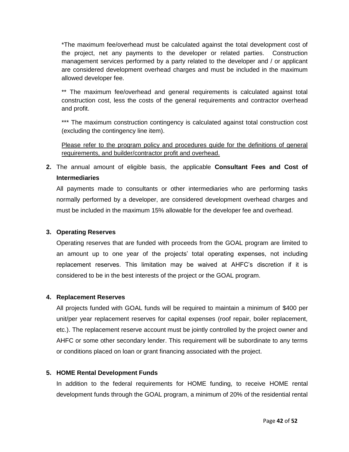\*The maximum fee/overhead must be calculated against the total development cost of the project, net any payments to the developer or related parties. Construction management services performed by a party related to the developer and / or applicant are considered development overhead charges and must be included in the maximum allowed developer fee.

\*\* The maximum fee/overhead and general requirements is calculated against total construction cost, less the costs of the general requirements and contractor overhead and profit.

\*\*\* The maximum construction contingency is calculated against total construction cost (excluding the contingency line item).

Please refer to the program policy and procedures guide for the definitions of general requirements, and builder/contractor profit and overhead.

**2.** The annual amount of eligible basis, the applicable **Consultant Fees and Cost of Intermediaries** 

All payments made to consultants or other intermediaries who are performing tasks normally performed by a developer, are considered development overhead charges and must be included in the maximum 15% allowable for the developer fee and overhead.

#### **3. Operating Reserves**

Operating reserves that are funded with proceeds from the GOAL program are limited to an amount up to one year of the projects' total operating expenses, not including replacement reserves. This limitation may be waived at AHFC's discretion if it is considered to be in the best interests of the project or the GOAL program.

#### **4. Replacement Reserves**

All projects funded with GOAL funds will be required to maintain a minimum of \$400 per unit/per year replacement reserves for capital expenses (roof repair, boiler replacement, etc.). The replacement reserve account must be jointly controlled by the project owner and AHFC or some other secondary lender. This requirement will be subordinate to any terms or conditions placed on loan or grant financing associated with the project.

#### **5. HOME Rental Development Funds**

In addition to the federal requirements for HOME funding, to receive HOME rental development funds through the GOAL program, a minimum of 20% of the residential rental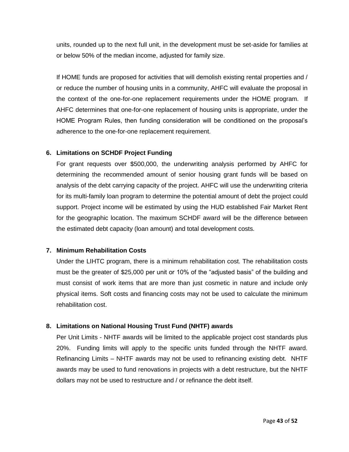units, rounded up to the next full unit, in the development must be set-aside for families at or below 50% of the median income, adjusted for family size.

If HOME funds are proposed for activities that will demolish existing rental properties and / or reduce the number of housing units in a community, AHFC will evaluate the proposal in the context of the one-for-one replacement requirements under the HOME program. If AHFC determines that one-for-one replacement of housing units is appropriate, under the HOME Program Rules, then funding consideration will be conditioned on the proposal's adherence to the one-for-one replacement requirement.

#### **6. Limitations on SCHDF Project Funding**

For grant requests over \$500,000, the underwriting analysis performed by AHFC for determining the recommended amount of senior housing grant funds will be based on analysis of the debt carrying capacity of the project. AHFC will use the underwriting criteria for its multi-family loan program to determine the potential amount of debt the project could support. Project income will be estimated by using the HUD established Fair Market Rent for the geographic location. The maximum SCHDF award will be the difference between the estimated debt capacity (loan amount) and total development costs*.* 

#### **7. Minimum Rehabilitation Costs**

Under the LIHTC program, there is a minimum rehabilitation cost. The rehabilitation costs must be the greater of \$25,000 per unit or 10% of the "adjusted basis" of the building and must consist of work items that are more than just cosmetic in nature and include only physical items. Soft costs and financing costs may not be used to calculate the minimum rehabilitation cost.

#### **8. Limitations on National Housing Trust Fund (NHTF) awards**

Per Unit Limits - NHTF awards will be limited to the applicable project cost standards plus 20%. Funding limits will apply to the specific units funded through the NHTF award. Refinancing Limits – NHTF awards may not be used to refinancing existing debt. NHTF awards may be used to fund renovations in projects with a debt restructure, but the NHTF dollars may not be used to restructure and / or refinance the debt itself.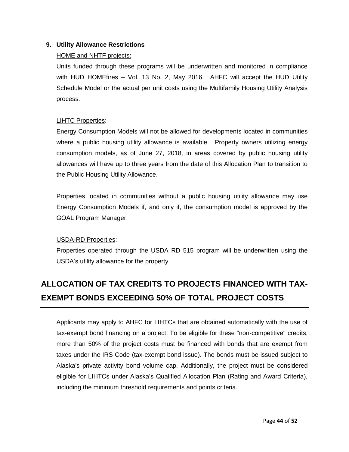#### **9. Utility Allowance Restrictions**

#### HOME and NHTF projects:

Units funded through these programs will be underwritten and monitored in compliance with HUD HOMEfires – Vol. 13 No. 2, May 2016. AHFC will accept the HUD Utility Schedule Model or the actual per unit costs using the Multifamily Housing Utility Analysis process.

#### LIHTC Properties:

Energy Consumption Models will not be allowed for developments located in communities where a public housing utility allowance is available. Property owners utilizing energy consumption models, as of June 27, 2018, in areas covered by public housing utility allowances will have up to three years from the date of this Allocation Plan to transition to the Public Housing Utility Allowance.

Properties located in communities without a public housing utility allowance may use Energy Consumption Models if, and only if, the consumption model is approved by the GOAL Program Manager.

#### USDA-RD Properties:

Properties operated through the USDA RD 515 program will be underwritten using the USDA's utility allowance for the property.

## **ALLOCATION OF TAX CREDITS TO PROJECTS FINANCED WITH TAX-EXEMPT BONDS EXCEEDING 50% OF TOTAL PROJECT COSTS**

Applicants may apply to AHFC for LIHTCs that are obtained automatically with the use of tax-exempt bond financing on a project. To be eligible for these "non-competitive" credits, more than 50% of the project costs must be financed with bonds that are exempt from taxes under the IRS Code (tax-exempt bond issue). The bonds must be issued subject to Alaska's private activity bond volume cap. Additionally, the project must be considered eligible for LIHTCs under Alaska's Qualified Allocation Plan (Rating and Award Criteria), including the minimum threshold requirements and points criteria.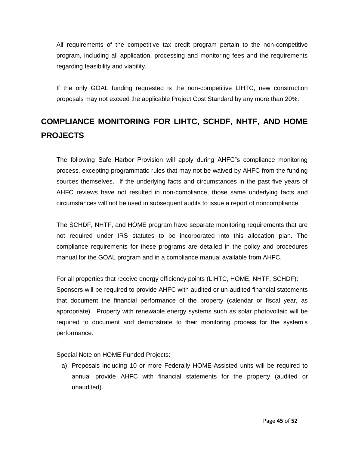All requirements of the competitive tax credit program pertain to the non-competitive program, including all application, processing and monitoring fees and the requirements regarding feasibility and viability.

If the only GOAL funding requested is the non-competitive LIHTC, new construction proposals may not exceed the applicable Project Cost Standard by any more than 20%.

## **COMPLIANCE MONITORING FOR LIHTC, SCHDF, NHTF, AND HOME PROJECTS**

The following Safe Harbor Provision will apply during AHFC"s compliance monitoring process, excepting programmatic rules that may not be waived by AHFC from the funding sources themselves. If the underlying facts and circumstances in the past five years of AHFC reviews have not resulted in non-compliance, those same underlying facts and circumstances will not be used in subsequent audits to issue a report of noncompliance.

The SCHDF, NHTF, and HOME program have separate monitoring requirements that are not required under IRS statutes to be incorporated into this allocation plan. The compliance requirements for these programs are detailed in the policy and procedures manual for the GOAL program and in a compliance manual available from AHFC.

For all properties that receive energy efficiency points (LIHTC, HOME, NHTF, SCHDF): Sponsors will be required to provide AHFC with audited or un-audited financial statements that document the financial performance of the property (calendar or fiscal year, as appropriate). Property with renewable energy systems such as solar photovoltaic will be required to document and demonstrate to their monitoring process for the system's performance.

Special Note on HOME Funded Projects:

a) Proposals including 10 or more Federally HOME-Assisted units will be required to annual provide AHFC with financial statements for the property (audited or unaudited).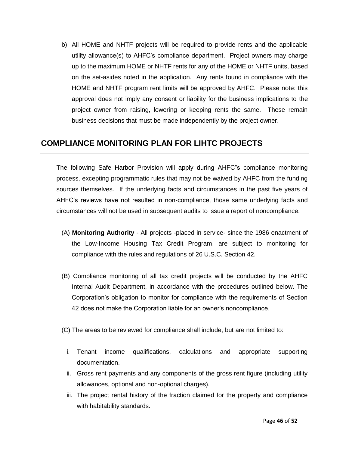b) All HOME and NHTF projects will be required to provide rents and the applicable utility allowance(s) to AHFC's compliance department. Project owners may charge up to the maximum HOME or NHTF rents for any of the HOME or NHTF units, based on the set-asides noted in the application. Any rents found in compliance with the HOME and NHTF program rent limits will be approved by AHFC. Please note: this approval does not imply any consent or liability for the business implications to the project owner from raising, lowering or keeping rents the same. These remain business decisions that must be made independently by the project owner.

## **COMPLIANCE MONITORING PLAN FOR LIHTC PROJECTS**

The following Safe Harbor Provision will apply during AHFC"s compliance monitoring process, excepting programmatic rules that may not be waived by AHFC from the funding sources themselves. If the underlying facts and circumstances in the past five years of AHFC's reviews have not resulted in non-compliance, those same underlying facts and circumstances will not be used in subsequent audits to issue a report of noncompliance.

- (A) **Monitoring Authority**  All projects -placed in service- since the 1986 enactment of the Low-Income Housing Tax Credit Program, are subject to monitoring for compliance with the rules and regulations of 26 U.S.C. Section 42.
- (B) Compliance monitoring of all tax credit projects will be conducted by the AHFC Internal Audit Department, in accordance with the procedures outlined below. The Corporation's obligation to monitor for compliance with the requirements of Section 42 does not make the Corporation liable for an owner's noncompliance.
- (C) The areas to be reviewed for compliance shall include, but are not limited to:
	- i. Tenant income qualifications, calculations and appropriate supporting documentation.
	- ii. Gross rent payments and any components of the gross rent figure (including utility allowances, optional and non-optional charges).
	- iii. The project rental history of the fraction claimed for the property and compliance with habitability standards.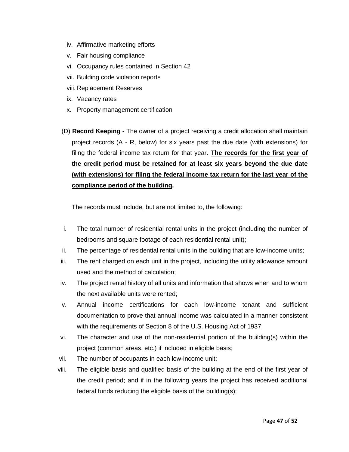- iv. Affirmative marketing efforts
- v. Fair housing compliance
- vi. Occupancy rules contained in Section 42
- vii. Building code violation reports
- viii. Replacement Reserves
- ix. Vacancy rates
- x. Property management certification
- (D) **Record Keeping**  The owner of a project receiving a credit allocation shall maintain project records (A - R, below) for six years past the due date (with extensions) for filing the federal income tax return for that year. **The records for the first year of the credit period must be retained for at least six years beyond the due date (with extensions) for filing the federal income tax return for the last year of the compliance period of the building.**

The records must include, but are not limited to, the following:

- i. The total number of residential rental units in the project (including the number of bedrooms and square footage of each residential rental unit);
- ii. The percentage of residential rental units in the building that are low-income units;
- iii. The rent charged on each unit in the project, including the utility allowance amount used and the method of calculation;
- iv. The project rental history of all units and information that shows when and to whom the next available units were rented;
- v. Annual income certifications for each low-income tenant and sufficient documentation to prove that annual income was calculated in a manner consistent with the requirements of Section 8 of the U.S. Housing Act of 1937;
- vi. The character and use of the non-residential portion of the building(s) within the project (common areas, etc.) if included in eligible basis;
- vii. The number of occupants in each low-income unit;
- viii. The eligible basis and qualified basis of the building at the end of the first year of the credit period; and if in the following years the project has received additional federal funds reducing the eligible basis of the building(s);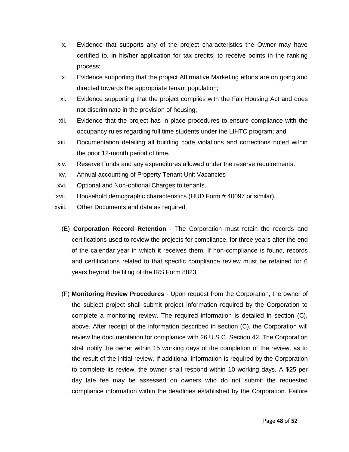- ix. Evidence that supports any of the project characteristics the Owner may have certified to, in his/her application for tax credits, to receive points in the ranking process;
- x. Evidence supporting that the project Affirmative Marketing efforts are on going and directed towards the appropriate tenant population;
- xi. Evidence supporting that the project complies with the Fair Housing Act and does not discriminate in the provision of housing;
- xii. Evidence that the project has in place procedures to ensure compliance with the occupancy rules regarding full time students under the LIHTC program; and
- xiii. Documentation detailing all building code violations and corrections noted within the prior 12-month period of time.
- xiv. Reserve Funds and any expenditures allowed under the reserve requirements.
- xv. Annual accounting of Property Tenant Unit Vacancies
- xvi. Optional and Non-optional Charges to tenants.
- xvii. Household demographic characteristics (HUD Form # 40097 or similar).
- xviii. Other Documents and data as required.
	- (E) **Corporation Record Retention**  The Corporation must retain the records and certifications used to review the projects for compliance, for three years after the end of the calendar year in which it receives them. If non-compliance is found, records and certifications related to that specific compliance review must be retained for 6 years beyond the filing of the IRS Form 8823.
	- (F) **Monitoring Review Procedures**  Upon request from the Corporation, the owner of the subject project shall submit project information required by the Corporation to complete a monitoring review. The required information is detailed in section (C), above. After receipt of the information described in section (C), the Corporation will review the documentation for compliance with 26 U.S.C. Section 42. The Corporation shall notify the owner within 15 working days of the completion of the review, as to the result of the initial review. If additional information is required by the Corporation to complete its review, the owner shall respond within 10 working days. A \$25 per day late fee may be assessed on owners who do not submit the requested compliance information within the deadlines established by the Corporation. Failure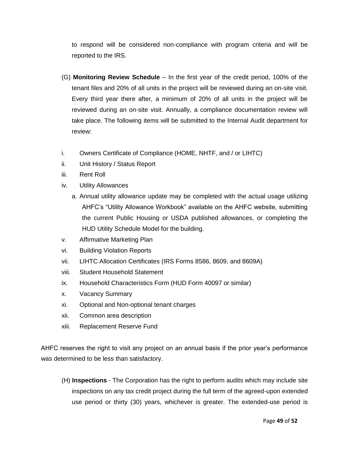to respond will be considered non-compliance with program criteria and will be reported to the IRS.

- (G) **Monitoring Review Schedule** In the first year of the credit period, 100% of the tenant files and 20% of all units in the project will be reviewed during an on-site visit. Every third year there after, a minimum of 20% of all units in the project will be reviewed during an on-site visit. Annually, a compliance documentation review will take place. The following items will be submitted to the Internal Audit department for review:
- i. Owners Certificate of Compliance (HOME, NHTF, and / or LIHTC)
- ii. Unit History / Status Report
- iii. Rent Roll
- iv. Utility Allowances
	- a. Annual utility allowance update may be completed with the actual usage utilizing AHFC's "Utility Allowance Workbook" available on the AHFC website, submitting the current Public Housing or USDA published allowances, or completing the HUD Utility Schedule Model for the building.
- v. Affirmative Marketing Plan
- vi. Building Violation Reports
- vii. LIHTC Allocation Certificates (IRS Forms 8586, 8609, and 8609A)
- viii. Student Household Statement
- ix. Household Characteristics Form (HUD Form 40097 or similar)
- x. Vacancy Summary
- xi. Optional and Non-optional tenant charges
- xii. Common area description
- xiii. Replacement Reserve Fund

AHFC reserves the right to visit any project on an annual basis if the prior year's performance was determined to be less than satisfactory.

(H) **Inspections** - The Corporation has the right to perform audits which may include site inspections on any tax credit project during the full term of the agreed-upon extended use period or thirty (30) years, whichever is greater. The extended-use period is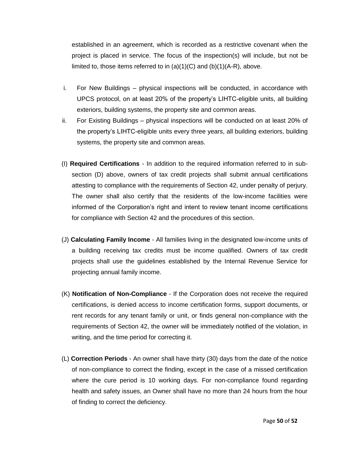established in an agreement, which is recorded as a restrictive covenant when the project is placed in service. The focus of the inspection(s) will include, but not be limited to, those items referred to in  $(a)(1)(C)$  and  $(b)(1)(A-R)$ , above.

- i. For New Buildings physical inspections will be conducted, in accordance with UPCS protocol, on at least 20% of the property's LIHTC-eligible units, all building exteriors, building systems, the property site and common areas.
- ii. For Existing Buildings physical inspections will be conducted on at least 20% of the property's LIHTC-eligible units every three years, all building exteriors, building systems, the property site and common areas.
- (I) **Required Certifications** In addition to the required information referred to in subsection (D) above, owners of tax credit projects shall submit annual certifications attesting to compliance with the requirements of Section 42, under penalty of perjury. The owner shall also certify that the residents of the low-income facilities were informed of the Corporation's right and intent to review tenant income certifications for compliance with Section 42 and the procedures of this section.
- (J) **Calculating Family Income**  All families living in the designated low-income units of a building receiving tax credits must be income qualified. Owners of tax credit projects shall use the guidelines established by the Internal Revenue Service for projecting annual family income.
- (K) **Notification of Non-Compliance**  If the Corporation does not receive the required certifications, is denied access to income certification forms, support documents, or rent records for any tenant family or unit, or finds general non-compliance with the requirements of Section 42, the owner will be immediately notified of the violation, in writing, and the time period for correcting it.
- (L) **Correction Periods** An owner shall have thirty (30) days from the date of the notice of non-compliance to correct the finding, except in the case of a missed certification where the cure period is 10 working days. For non-compliance found regarding health and safety issues, an Owner shall have no more than 24 hours from the hour of finding to correct the deficiency.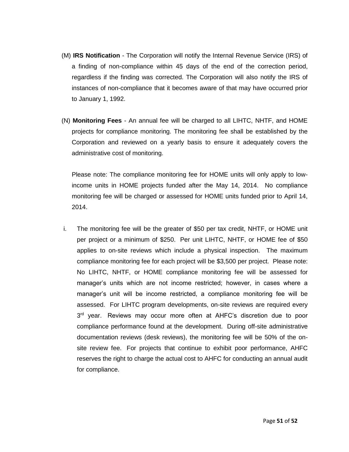- (M) **IRS Notification**  The Corporation will notify the Internal Revenue Service (IRS) of a finding of non-compliance within 45 days of the end of the correction period, regardless if the finding was corrected. The Corporation will also notify the IRS of instances of non-compliance that it becomes aware of that may have occurred prior to January 1, 1992.
- (N) **Monitoring Fees**  An annual fee will be charged to all LIHTC, NHTF, and HOME projects for compliance monitoring. The monitoring fee shall be established by the Corporation and reviewed on a yearly basis to ensure it adequately covers the administrative cost of monitoring.

Please note: The compliance monitoring fee for HOME units will only apply to lowincome units in HOME projects funded after the May 14, 2014. No compliance monitoring fee will be charged or assessed for HOME units funded prior to April 14, 2014.

i. The monitoring fee will be the greater of \$50 per tax credit, NHTF, or HOME unit per project or a minimum of \$250. Per unit LIHTC, NHTF, or HOME fee of \$50 applies to on-site reviews which include a physical inspection. The maximum compliance monitoring fee for each project will be \$3,500 per project. Please note: No LIHTC, NHTF, or HOME compliance monitoring fee will be assessed for manager's units which are not income restricted; however, in cases where a manager's unit will be income restricted, a compliance monitoring fee will be assessed. For LIHTC program developments, on-site reviews are required every 3<sup>rd</sup> year. Reviews may occur more often at AHFC's discretion due to poor compliance performance found at the development. During off-site administrative documentation reviews (desk reviews), the monitoring fee will be 50% of the onsite review fee. For projects that continue to exhibit poor performance, AHFC reserves the right to charge the actual cost to AHFC for conducting an annual audit for compliance.